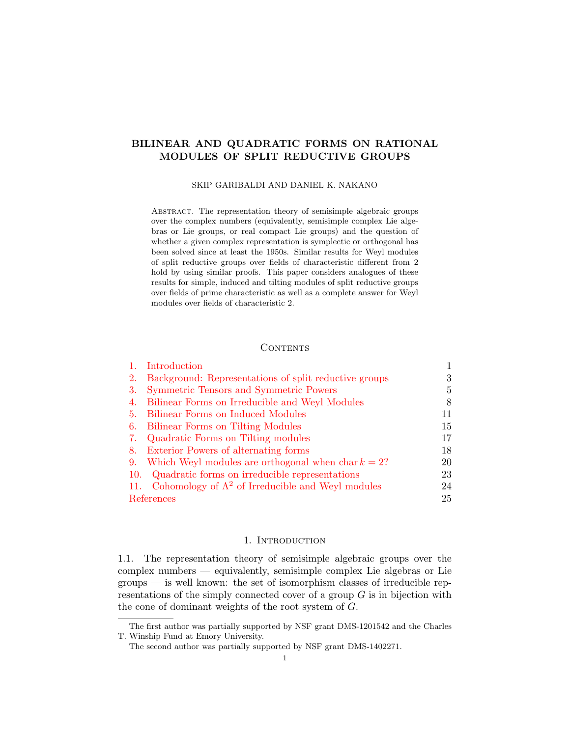# BILINEAR AND QUADRATIC FORMS ON RATIONAL MODULES OF SPLIT REDUCTIVE GROUPS

## SKIP GARIBALDI AND DANIEL K. NAKANO

Abstract. The representation theory of semisimple algebraic groups over the complex numbers (equivalently, semisimple complex Lie algebras or Lie groups, or real compact Lie groups) and the question of whether a given complex representation is symplectic or orthogonal has been solved since at least the 1950s. Similar results for Weyl modules of split reductive groups over fields of characteristic different from 2 hold by using similar proofs. This paper considers analogues of these results for simple, induced and tilting modules of split reductive groups over fields of prime characteristic as well as a complete answer for Weyl modules over fields of characteristic 2.

# **CONTENTS**

| Introduction                                                  |    |
|---------------------------------------------------------------|----|
| Background: Representations of split reductive groups<br>2.   | 3  |
| Symmetric Tensors and Symmetric Powers<br>3.                  | 5  |
| Bilinear Forms on Irreducible and Weyl Modules<br>4.          | 8  |
| Bilinear Forms on Induced Modules<br>5.                       | 11 |
| Bilinear Forms on Tilting Modules<br>6.                       | 15 |
| Quadratic Forms on Tilting modules<br>7.                      | 17 |
| Exterior Powers of alternating forms<br>8.                    | 18 |
| Which Weyl modules are orthogonal when char $k = 2$ ?<br>9.   | 20 |
| Quadratic forms on irreducible representations<br>10.         | 23 |
| 11. Cohomology of $\Lambda^2$ of Irreducible and Weyl modules | 24 |
| References                                                    | 25 |

## 1. INTRODUCTION

<span id="page-0-0"></span>1.1. The representation theory of semisimple algebraic groups over the complex numbers — equivalently, semisimple complex Lie algebras or Lie groups — is well known: the set of isomorphism classes of irreducible representations of the simply connected cover of a group  $G$  is in bijection with the cone of dominant weights of the root system of G.

The first author was partially supported by NSF grant DMS-1201542 and the Charles T. Winship Fund at Emory University.

The second author was partially supported by NSF grant DMS-1402271.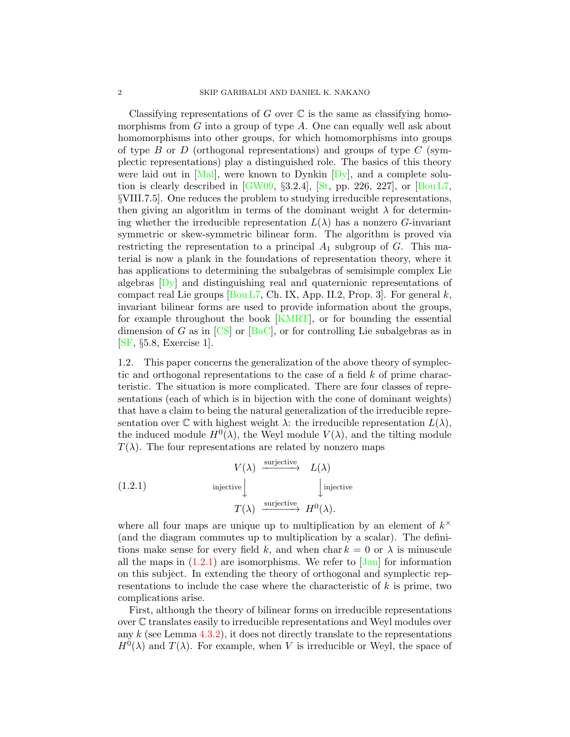Classifying representations of G over  $\mathbb C$  is the same as classifying homomorphisms from  $G$  into a group of type  $A$ . One can equally well ask about homomorphisms into other groups, for which homomorphisms into groups of type  $B$  or  $D$  (orthogonal representations) and groups of type  $C$  (symplectic representations) play a distinguished role. The basics of this theory were laid out in  $[Mal]$ , were known to Dynkin  $[Dy]$ , and a complete solution is clearly described in  $\lbrack GW09, \S3.2.4 \rbrack$ ,  $\lbrack \text{St}, \text{ pp. } 226, 227 \rbrack$ , or  $\lbrack \text{Boul } L7,$ §VIII.7.5]. One reduces the problem to studying irreducible representations, then giving an algorithm in terms of the dominant weight  $\lambda$  for determining whether the irreducible representation  $L(\lambda)$  has a nonzero G-invariant symmetric or skew-symmetric bilinear form. The algorithm is proved via restricting the representation to a principal  $A_1$  subgroup of G. This material is now a plank in the foundations of representation theory, where it has applications to determining the subalgebras of semisimple complex Lie algebras [\[Dy\]](#page-25-1) and distinguishing real and quaternionic representations of compact real Lie groups  $[Bou L7, Ch. IX, App. II.2, Prop. 3]$  $[Bou L7, Ch. IX, App. II.2, Prop. 3]$ . For general k, invariant bilinear forms are used to provide information about the groups, for example throughout the book [\[KMRT\]](#page-25-4), or for bounding the essential dimension of G as in  $[CS]$  or  $[BaC]$ , or for controlling Lie subalgebras as in [\[SF,](#page-25-6) §5.8, Exercise 1].

1.2. This paper concerns the generalization of the above theory of symplectic and orthogonal representations to the case of a field  $k$  of prime characteristic. The situation is more complicated. There are four classes of representations (each of which is in bijection with the cone of dominant weights) that have a claim to being the natural generalization of the irreducible representation over  $\mathbb C$  with highest weight  $\lambda$ : the irreducible representation  $L(\lambda)$ , the induced module  $H^0(\lambda)$ , the Weyl module  $V(\lambda)$ , and the tilting module  $T(\lambda)$ . The four representations are related by nonzero maps

<span id="page-1-0"></span>(1.2.1) 
$$
V(\lambda) \xrightarrow{\text{surjective}} L(\lambda)
$$

$$
\text{injective} \downarrow \qquad \qquad \downarrow \text{injective}
$$

$$
T(\lambda) \xrightarrow{\text{surjective}} H^{0}(\lambda).
$$

where all four maps are unique up to multiplication by an element of  $k^{\times}$ (and the diagram commutes up to multiplication by a scalar). The definitions make sense for every field k, and when char  $k = 0$  or  $\lambda$  is minuscule all the maps in  $(1.2.1)$  are isomorphisms. We refer to  $\text{Jan}$  for information on this subject. In extending the theory of orthogonal and symplectic representations to include the case where the characteristic of k is prime, two complications arise.

First, although the theory of bilinear forms on irreducible representations over C translates easily to irreducible representations and Weyl modules over any  $k$  (see Lemma [4.3.2\)](#page-9-0), it does not directly translate to the representations  $H^0(\lambda)$  and  $T(\lambda)$ . For example, when V is irreducible or Weyl, the space of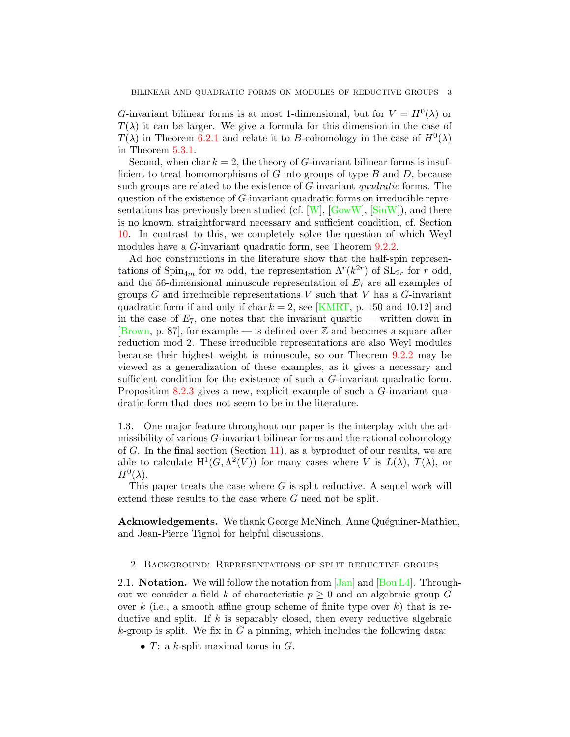G-invariant bilinear forms is at most 1-dimensional, but for  $V = H^0(\lambda)$  or  $T(\lambda)$  it can be larger. We give a formula for this dimension in the case of  $T(\lambda)$  in Theorem [6.2.1](#page-14-1) and relate it to B-cohomology in the case of  $H^0(\lambda)$ in Theorem [5.3.1.](#page-12-0)

Second, when char  $k = 2$ , the theory of G-invariant bilinear forms is insufficient to treat homomorphisms of G into groups of type  $B$  and  $D$ , because such groups are related to the existence of G-invariant quadratic forms. The question of the existence of G-invariant quadratic forms on irreducible representations has previously been studied (cf.  $[W]$ ,  $[GowW]$ ,  $[\text{Sin}W]$ ), and there is no known, straightforward necessary and sufficient condition, cf. Section [10.](#page-22-0) In contrast to this, we completely solve the question of which Weyl modules have a *G*-invariant quadratic form, see Theorem [9.2.2.](#page-20-0)

Ad hoc constructions in the literature show that the half-spin representations of  $\text{Spin}_{4m}$  for m odd, the representation  $\Lambda^{r}(k^{2r})$  of  $\text{SL}_{2r}$  for r odd, and the 56-dimensional minuscule representation of  $E<sub>7</sub>$  are all examples of groups  $G$  and irreducible representations  $V$  such that  $V$  has a  $G$ -invariant quadratic form if and only if char  $k = 2$ , see [\[KMRT,](#page-25-4) p. 150 and 10.12] and in the case of  $E_7$ , one notes that the invariant quartic — written down in [\[Brown,](#page-25-9) p. 87], for example — is defined over  $\mathbb Z$  and becomes a square after reduction mod 2. These irreducible representations are also Weyl modules because their highest weight is minuscule, so our Theorem [9.2.2](#page-20-0) may be viewed as a generalization of these examples, as it gives a necessary and sufficient condition for the existence of such a G-invariant quadratic form. Proposition [8.2.3](#page-18-0) gives a new, explicit example of such a G-invariant quadratic form that does not seem to be in the literature.

1.3. One major feature throughout our paper is the interplay with the admissibility of various G-invariant bilinear forms and the rational cohomology of  $G$ . In the final section (Section [11\)](#page-23-0), as a byproduct of our results, we are able to calculate  $H^1(G, \Lambda^2(V))$  for many cases where V is  $L(\lambda)$ ,  $T(\lambda)$ , or  $H^0(\lambda)$ .

This paper treats the case where  $G$  is split reductive. A sequel work will extend these results to the case where G need not be split.

<span id="page-2-1"></span>Acknowledgements. We thank George McNinch, Anne Quéguiner-Mathieu, and Jean-Pierre Tignol for helpful discussions.

### <span id="page-2-0"></span>2. Background: Representations of split reductive groups

2.1. **Notation.** We will follow the notation from  $\text{Jan}$  and  $\text{Bou L4}$ . Throughout we consider a field k of characteristic  $p \geq 0$  and an algebraic group G over k (i.e., a smooth affine group scheme of finite type over k) that is reductive and split. If  $k$  is separably closed, then every reductive algebraic k-group is split. We fix in G a pinning, which includes the following data:

•  $T: a k$ -split maximal torus in  $G$ .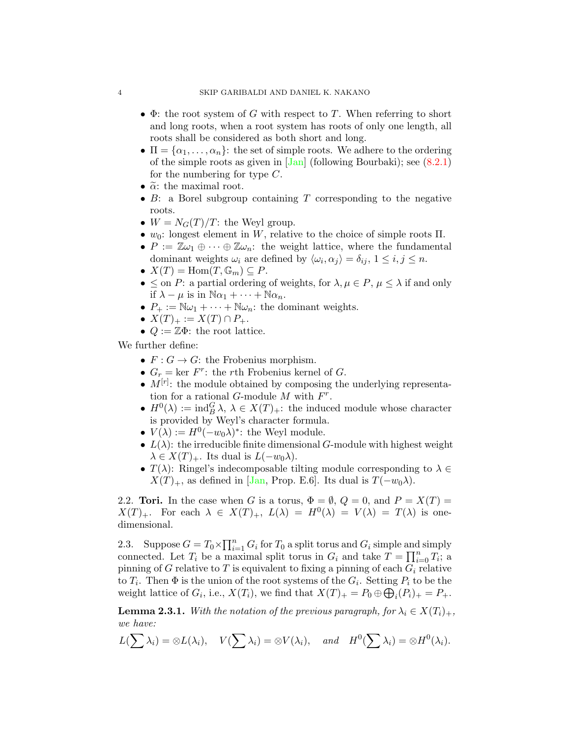- $\Phi$ : the root system of G with respect to T. When referring to short and long roots, when a root system has roots of only one length, all roots shall be considered as both short and long.
- $\Pi = {\alpha_1, \ldots, \alpha_n}$ : the set of simple roots. We adhere to the ordering of the simple roots as given in  $\overline{\text{Jan}}$  (following Bourbaki); see  $(8.2.1)$ for the numbering for type  $C$ .
- $\tilde{\alpha}$ : the maximal root.
- $B$ : a Borel subgroup containing T corresponding to the negative roots.
- $W = N_G(T)/T$ : the Weyl group.
- $w_0$ : longest element in W, relative to the choice of simple roots  $\Pi$ .
- $P := \mathbb{Z}\omega_1 \oplus \cdots \oplus \mathbb{Z}\omega_n$ : the weight lattice, where the fundamental dominant weights  $\omega_i$  are defined by  $\langle \omega_i, \alpha_j \rangle = \delta_{ij}$ ,  $1 \leq i, j \leq n$ .
- $X(T) = \text{Hom}(T, \mathbb{G}_m) \subseteq P$ .
- $\leq$  on P: a partial ordering of weights, for  $\lambda, \mu \in P$ ,  $\mu \leq \lambda$  if and only if  $\lambda - \mu$  is in  $\mathbb{N}\alpha_1 + \cdots + \mathbb{N}\alpha_n$ .
- $P_+ := \mathbb{N}\omega_1 + \cdots + \mathbb{N}\omega_n$ : the dominant weights.
- $X(T)_+ := X(T) \cap P_+.$
- $Q := \mathbb{Z}\Phi$ : the root lattice.

We further define:

- $F: G \to G$ : the Frobenius morphism.
- $G_r = \text{ker } F^r$ : the rth Frobenius kernel of G.
- $M^{[r]}$ : the module obtained by composing the underlying representation for a rational G-module  $M$  with  $F^r$ .
- $H^0(\lambda) := \text{ind}_{B}^{G} \lambda, \ \lambda \in X(T)_{+}$ : the induced module whose character is provided by Weyl's character formula.
- $V(\lambda) := H^0(-w_0\lambda)^*$ : the Weyl module.
- $L(\lambda)$ : the irreducible finite dimensional G-module with highest weight  $\lambda \in X(T)_{+}$ . Its dual is  $L(-w_0\lambda)$ .
- $T(\lambda)$ : Ringel's indecomposable tilting module corresponding to  $\lambda \in$  $X(T)_+$ , as defined in [\[Jan,](#page-25-7) Prop. E.6]. Its dual is  $T(-w_0\lambda)$ .

2.2. Tori. In the case when G is a torus,  $\Phi = \emptyset$ ,  $Q = 0$ , and  $P = X(T) =$  $X(T)_+$ . For each  $\lambda \in X(T)_+$ ,  $L(\lambda) = H^0(\lambda) = V(\lambda) = T(\lambda)$  is onedimensional.

<span id="page-3-0"></span>2.3. Suppose  $G = T_0 \times \prod_{i=1}^n G_i$  for  $T_0$  a split torus and  $G_i$  simple and simply connected. Let  $T_i$  be a maximal split torus in  $G_i$  and take  $T = \prod_{i=0}^n T_i$ ; a pinning of G relative to T is equivalent to fixing a pinning of each  $G_i$  relative to  $T_i$ . Then  $\Phi$  is the union of the root systems of the  $G_i$ . Setting  $P_i$  to be the weight lattice of  $G_i$ , i.e.,  $X(T_i)$ , we find that  $X(T)_+ = P_0 \oplus \bigoplus_i (P_i)_+ = P_+$ .

<span id="page-3-1"></span>**Lemma 2.3.1.** With the notation of the previous paragraph, for  $\lambda_i \in X(T_i)_+$ , we have:

$$
L(\sum \lambda_i) = \otimes L(\lambda_i), \quad V(\sum \lambda_i) = \otimes V(\lambda_i), \quad and \quad H^0(\sum \lambda_i) = \otimes H^0(\lambda_i).
$$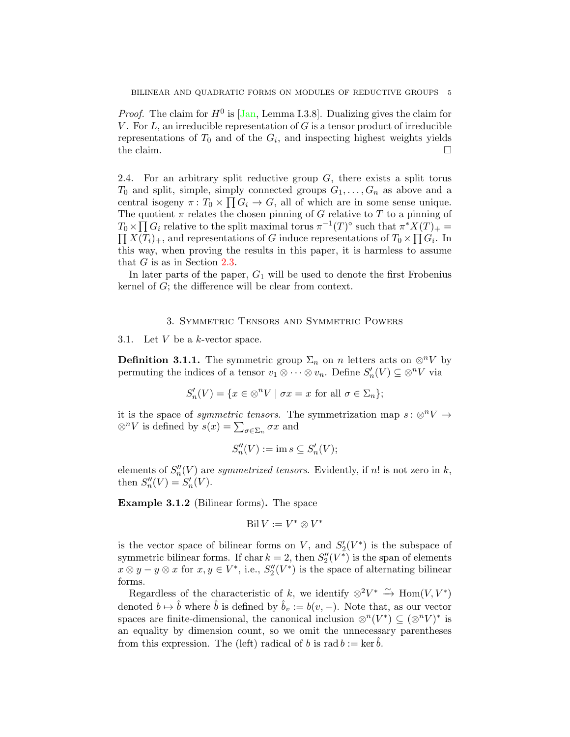*Proof.* The claim for  $H^0$  is [\[Jan,](#page-25-7) Lemma I.3.8]. Dualizing gives the claim for V. For  $L$ , an irreducible representation of  $G$  is a tensor product of irreducible representations of  $T_0$  and of the  $G_i$ , and inspecting highest weights yields the claim.  $\Box$ 

<span id="page-4-3"></span>2.4. For an arbitrary split reductive group  $G$ , there exists a split torus  $T_0$  and split, simple, simply connected groups  $G_1, \ldots, G_n$  as above and a central isogeny  $\pi: T_0 \times \prod G_i \to G$ , all of which are in some sense unique. The quotient  $\pi$  relates the chosen pinning of G relative to T to a pinning of  $T_0 \times \prod G_i$  relative to the split maximal torus  $\pi^{-1}(T)$ <sup>o</sup> such that  $\pi^* X(T)_+ =$  $\prod X(T_i)_+$ , and representations of G induce representations of  $T_0 \times \prod G_i$ . In this way, when proving the results in this paper, it is harmless to assume that G is as in Section [2.3.](#page-3-0)

In later parts of the paper,  $G_1$  will be used to denote the first Frobenius kernel of G; the difference will be clear from context.

### 3. Symmetric Tensors and Symmetric Powers

<span id="page-4-0"></span>3.1. Let  $V$  be a k-vector space.

<span id="page-4-1"></span>**Definition 3.1.1.** The symmetric group  $\Sigma_n$  on n letters acts on  $\otimes^n V$  by permuting the indices of a tensor  $v_1 \otimes \cdots \otimes v_n$ . Define  $S'_n(V) \subseteq \otimes^n V$  via

$$
S_n'(V) = \{ x \in \otimes^n V \mid \sigma x = x \text{ for all } \sigma \in \Sigma_n \};
$$

it is the space of *symmetric tensors*. The symmetrization map  $s : \otimes^n V \to$  $\otimes^n V$  is defined by  $s(x) = \sum_{\sigma \in \Sigma_n} \sigma x$  and

$$
S_n''(V) := \text{im } s \subseteq S_n'(V);
$$

elements of  $S_n''(V)$  are symmetrized tensors. Evidently, if n! is not zero in k, then  $S_n''(V) = S_n'(V)$ .

<span id="page-4-2"></span>Example 3.1.2 (Bilinear forms). The space

$$
\operatorname{Bil} V := V^* \otimes V^*
$$

is the vector space of bilinear forms on  $V$ , and  $S'_{2}(V^*)$  is the subspace of symmetric bilinear forms. If char  $k = 2$ , then  $S_2''(V^{\ast})$  is the span of elements  $x \otimes y - y \otimes x$  for  $x, y \in V^*$ , i.e.,  $S_2''(V^*)$  is the space of alternating bilinear forms.

Regardless of the characteristic of k, we identify  $\otimes^2 V^* \stackrel{\sim}{\rightarrow} \text{Hom}(V, V^*)$ denoted  $b \mapsto \hat{b}$  where  $\hat{b}$  is defined by  $\hat{b}_v := b(v, -)$ . Note that, as our vector spaces are finite-dimensional, the canonical inclusion  $\otimes^n(V^*) \subseteq (\otimes^n V)^*$  is an equality by dimension count, so we omit the unnecessary parentheses from this expression. The (left) radical of b is rad  $b := \ker b$ .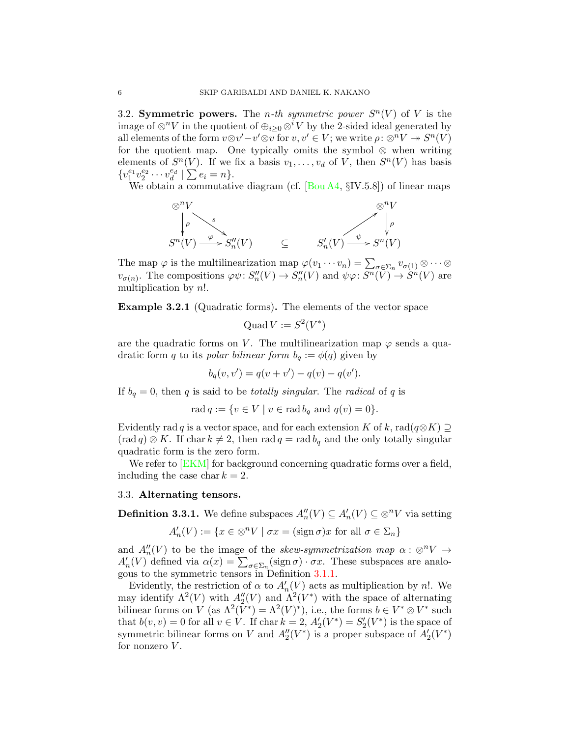3.2. Symmetric powers. The *n*-th symmetric power  $S^{n}(V)$  of V is the image of  $\otimes^n V$  in the quotient of  $\oplus_{i>0} \otimes^i V$  by the 2-sided ideal generated by all elements of the form  $v \otimes v' - v' \otimes v$  for  $v, v' \in V$ ; we write  $\rho : \otimes^n V \to S^n(V)$ for the quotient map. One typically omits the symbol  $\otimes$  when writing elements of  $S<sup>n</sup>(V)$ . If we fix a basis  $v_1, \ldots, v_d$  of V, then  $S<sup>n</sup>(V)$  has basis  $\{v_1^{e_1}v_2^{e_2}\cdots v_d^{e_d} \mid \sum e_i = n\}.$ 

We obtain a commutative diagram (cf. [\[Bou A4,](#page-25-11) §IV.5.8]) of linear maps



The map  $\varphi$  is the multilinearization map  $\varphi(v_1 \cdots v_n) = \sum_{\sigma \in \Sigma_n} v_{\sigma(1)} \otimes \cdots \otimes v_n$  $v_{\sigma(n)}$ . The compositions  $\varphi \psi : S''_n(V) \to S''_n(V)$  and  $\psi \varphi : S^n(\overline{V}) \to S^n(V)$  are multiplication by n!.

Example 3.2.1 (Quadratic forms). The elements of the vector space

$$
Quad V := S^2(V^*)
$$

are the quadratic forms on V. The multilinearization map  $\varphi$  sends a quadratic form q to its polar bilinear form  $b_q := \phi(q)$  given by

$$
b_q(v, v') = q(v + v') - q(v) - q(v').
$$

If  $b_q = 0$ , then q is said to be *totally singular*. The *radical* of q is

rad  $q := \{v \in V \mid v \in \text{rad } b_q \text{ and } q(v) = 0\}.$ 

Evidently rad q is a vector space, and for each extension K of k, rad $(q \otimes K) \supseteq$  $(\text{rad } q) \otimes K$ . If char  $k \neq 2$ , then rad  $q = \text{rad } b_q$  and the only totally singular quadratic form is the zero form.

We refer to **EKM** for background concerning quadratic forms over a field, including the case char  $k = 2$ .

### 3.3. Alternating tensors.

**Definition 3.3.1.** We define subspaces  $A_n''(V) \subseteq A_n'(V) \subseteq \otimes^n V$  via setting

$$
A'_n(V) := \{ x \in \otimes^n V \mid \sigma x = (\text{sign}\,\sigma) x \text{ for all } \sigma \in \Sigma_n \}
$$

and  $A_n''(V)$  to be the image of the skew-symmetrization map  $\alpha : \otimes^n V \to$  $A'_n(V)$  defined via  $\alpha(x) = \sum_{\sigma \in \Sigma_n} (\text{sign}\,\sigma) \cdot \sigma x$ . These subspaces are analogous to the symmetric tensors in Definition [3.1.1.](#page-4-1)

Evidently, the restriction of  $\alpha$  to  $A'_n(V)$  acts as multiplication by n!. We may identify  $\Lambda^2(V)$  with  $A_2''(V)$  and  $\Lambda^2(V^*)$  with the space of alternating bilinear forms on V (as  $\Lambda^2(V^*) = \Lambda^2(V)^*$ ), i.e., the forms  $b \in V^* \otimes V^*$  such that  $b(v, v) = 0$  for all  $v \in V$ . If char  $k = 2$ ,  $A'_2(V^*) = S'_2(V^*)$  is the space of symmetric bilinear forms on V and  $A_2''(V^*)$  is a proper subspace of  $A_2'(V^*)$ for nonzero  $V$ .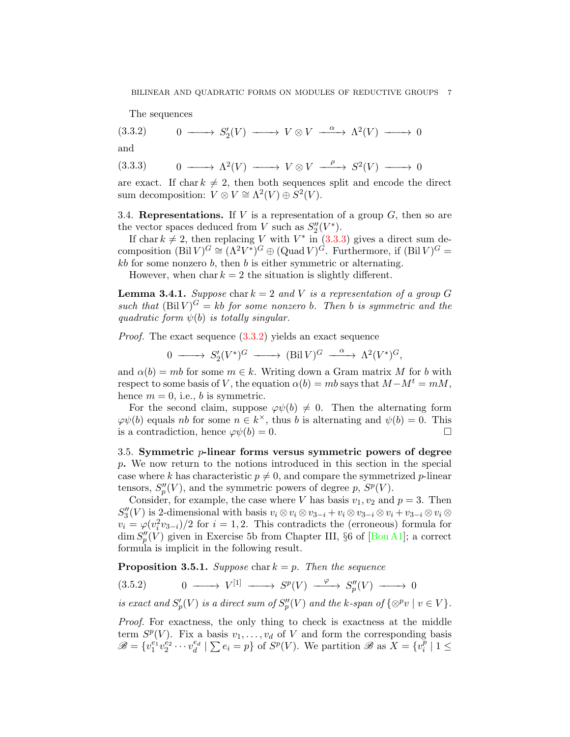<span id="page-6-1"></span>The sequences

$$
(3.3.2) \t 0 \longrightarrow S'_2(V) \longrightarrow V \otimes V \stackrel{\alpha}{\longrightarrow} \Lambda^2(V) \longrightarrow 0
$$

and

<span id="page-6-0"></span>
$$
(3.3.3) \t 0 \longrightarrow \Lambda^2(V) \longrightarrow V \otimes V \stackrel{\rho}{\longrightarrow} S^2(V) \longrightarrow 0
$$

are exact. If char  $k \neq 2$ , then both sequences split and encode the direct sum decomposition:  $V \otimes V \cong \Lambda^2(V) \oplus S^2(V)$ .

3.4. Representations. If  $V$  is a representation of a group  $G$ , then so are the vector spaces deduced from V such as  $S_2''(V^*)$ .

If char  $k \neq 2$ , then replacing V with  $V^*$  in  $(3.3.3)$  gives a direct sum decomposition  $(\text{Bil } V)^G \cong (\Lambda^2 V^*)^G \oplus (\text{Quad } V)^G$ . Furthermore, if  $(\text{Bil } V)^G =$  $kb$  for some nonzero  $b$ , then  $b$  is either symmetric or alternating.

However, when char  $k = 2$  the situation is slightly different.

<span id="page-6-4"></span>**Lemma 3.4.1.** Suppose char  $k = 2$  and V is a representation of a group G such that  $(\text{Bil }V)^G = kb$  for some nonzero b. Then b is symmetric and the quadratic form  $\psi(b)$  is totally singular.

*Proof.* The exact sequence  $(3.3.2)$  yields an exact sequence

$$
0 \longrightarrow S_2'(V^*)^G \longrightarrow (\text{Bil } V)^G \longrightarrow \Lambda^2(V^*)^G,
$$

and  $\alpha(b) = mb$  for some  $m \in k$ . Writing down a Gram matrix M for b with respect to some basis of V, the equation  $\alpha(b) = mb$  says that  $M-M^t = mM$ , hence  $m = 0$ , i.e., b is symmetric.

For the second claim, suppose  $\varphi\psi(b) \neq 0$ . Then the alternating form  $\varphi\psi(b)$  equals nb for some  $n \in k^{\times}$ , thus b is alternating and  $\psi(b) = 0$ . This is a contradiction, hence  $\varphi \psi(b) = 0$ .

3.5. Symmetric p-linear forms versus symmetric powers of degree p. We now return to the notions introduced in this section in the special case where k has characteristic  $p \neq 0$ , and compare the symmetrized p-linear tensors,  $S_p''(V)$ , and the symmetric powers of degree p,  $S^p(V)$ .

Consider, for example, the case where V has basis  $v_1, v_2$  and  $p = 3$ . Then  $S_3''(V)$  is 2-dimensional with basis  $v_i \otimes v_i \otimes v_{3-i} + v_i \otimes v_{3-i} \otimes v_i + v_{3-i} \otimes v_i \otimes v_i$  $v_i = \varphi(v_i^2 v_{3-i})/2$  for  $i = 1, 2$ . This contradicts the (erroneous) formula for dim  $S_p''(V)$  given in Exercise 5b from Chapter III, §6 of [\[Bou A1\]](#page-24-1); a correct formula is implicit in the following result.

<span id="page-6-3"></span>**Proposition 3.5.1.** Suppose char  $k = p$ . Then the sequence

<span id="page-6-2"></span>
$$
(3.5.2) \t 0 \longrightarrow V^{[1]} \longrightarrow S^p(V) \stackrel{\varphi}{\longrightarrow} S_p''(V) \longrightarrow 0
$$

is exact and  $S'_p(V)$  is a direct sum of  $S''_p(V)$  and the k-span of  $\{\otimes^p v \mid v \in V\}$ .

Proof. For exactness, the only thing to check is exactness at the middle term  $S^p(V)$ . Fix a basis  $v_1, \ldots, v_d$  of V and form the corresponding basis  $\mathscr{B} = \{v_1^{e_1}v_2^{e_2}\cdots v_d^{e_d} \mid \sum e_i = p\}$  of  $S^p(V)$ . We partition  $\mathscr{B}$  as  $X = \{v_i^p\}$  $\binom{p}{i}$  | 1  $\leq$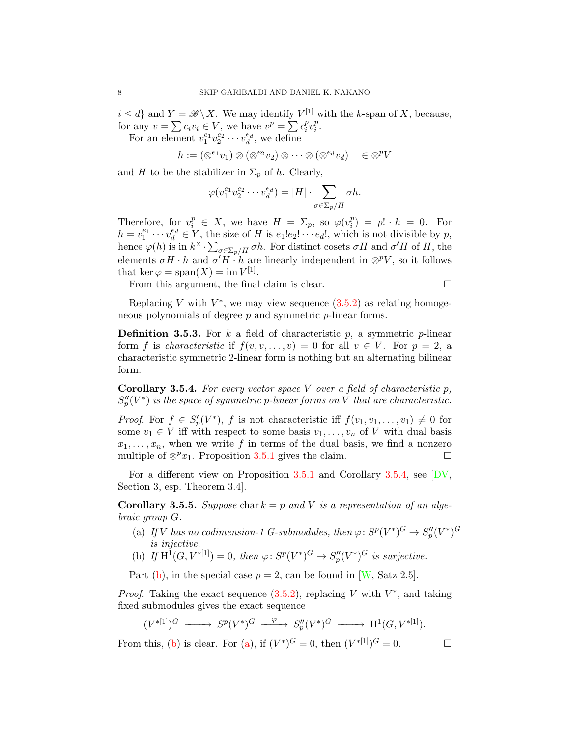$i \leq d$  and  $Y = \mathscr{B} \setminus X$ . We may identify  $V^{[1]}$  with the k-span of X, because, for any  $v = \sum c_i v_i \in V$ , we have  $v^p = \sum c_i^p$  $_{i}^{p}v_{i}^{p}$  $\frac{p}{i}$ .

For an element  $v_1^{e_1}v_2^{e_2}\cdots v_d^{e_d}$ , we define

$$
h := (\otimes^{e_1} v_1) \otimes (\otimes^{e_2} v_2) \otimes \cdots \otimes (\otimes^{e_d} v_d) \quad \in \otimes^p V
$$

and H to be the stabilizer in  $\Sigma_p$  of h. Clearly,

$$
\varphi(v_1^{e_1}v_2^{e_2}\cdots v_d^{e_d}) = |H| \cdot \sum_{\sigma \in \Sigma_p/H} \sigma h.
$$

Therefore, for  $v_i^p \in X$ , we have  $H = \Sigma_p$ , so  $\varphi(v_i^p)$  $\binom{p}{i} = p! \cdot h = 0.$  For  $h = v_1^{e_1} \cdots v_d^{e_d} \in Y$ , the size of H is  $e_1!e_2! \cdots e_d!$ , which is not divisible by p, hence  $\varphi(h)$  is in  $k^{\times} \cdot \sum_{\sigma \in \Sigma_p/H} \sigma h$ . For distinct cosets  $\sigma H$  and  $\sigma' H$  of H, the elements  $\sigma H \cdot h$  and  $\sigma' H \cdot h$  are linearly independent in  $\otimes^p V$ , so it follows that ker  $\varphi = \text{span}(X) = \text{im } V^{[1]}$ .

From this argument, the final claim is clear.

$$
\qquad \qquad \Box
$$

Replacing V with  $V^*$ , we may view sequence  $(3.5.2)$  as relating homogeneous polynomials of degree p and symmetric p-linear forms.

**Definition 3.5.3.** For k a field of characteristic p, a symmetric p-linear form f is *characteristic* if  $f(v, v, \ldots, v) = 0$  for all  $v \in V$ . For  $p = 2$ , a characteristic symmetric 2-linear form is nothing but an alternating bilinear form.

<span id="page-7-0"></span>**Corollary 3.5.4.** For every vector space V over a field of characteristic p,  $S_p''(V^*)$  is the space of symmetric p-linear forms on V that are characteristic.

*Proof.* For  $f \in S'_p(V^*)$ , f is not characteristic iff  $f(v_1, v_1, \ldots, v_1) \neq 0$  for some  $v_1 \in V$  iff with respect to some basis  $v_1, \ldots, v_n$  of V with dual basis  $x_1, \ldots, x_n$ , when we write f in terms of the dual basis, we find a nonzero multiple of  $\otimes^p x_1$ . Proposition [3.5.1](#page-6-3) gives the claim.

For a different view on Proposition [3.5.1](#page-6-3) and Corollary [3.5.4,](#page-7-0) see [\[DV,](#page-25-13) Section 3, esp. Theorem 3.4].

<span id="page-7-3"></span>**Corollary 3.5.5.** Suppose char  $k = p$  and V is a representation of an algebraic group G.

- <span id="page-7-2"></span>(a) If V has no codimension-1 G-submodules, then  $\varphi: S^p(V^*)^G \to S_p''(V^*)^G$ is injective.
- <span id="page-7-1"></span>(b) If  $H^1(G, V^{*[1]}) = 0$ , then  $\varphi \colon S^p(V^*)^G \to S_p''(V^*)^G$  is surjective.

Part [\(b\)](#page-7-1), in the special case  $p = 2$ , can be found in [\[W,](#page-26-1) Satz 2.5].

*Proof.* Taking the exact sequence  $(3.5.2)$ , replacing V with  $V^*$ , and taking fixed submodules gives the exact sequence

$$
(V^{*[1]})^G \xrightarrow{\hspace{1cm}} S^p(V^*)^G \xrightarrow{\hspace{1cm}} S_p''(V^*)^G \xrightarrow{\hspace{1cm}} H^1(G,V^{*[1]}).
$$

From this, [\(b\)](#page-7-1) is clear. For [\(a\)](#page-7-2), if  $(V^*)^G = 0$ , then  $(V^{*[1]})^G = 0$ .

$$
\Box
$$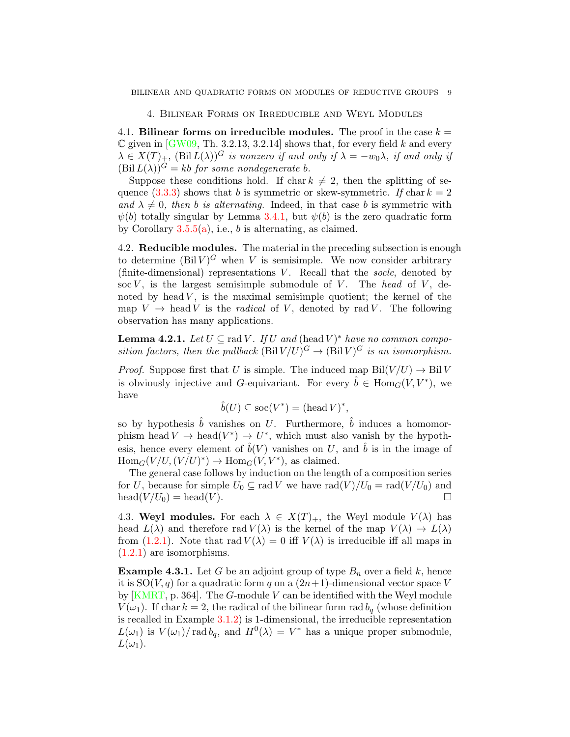4. Bilinear Forms on Irreducible and Weyl Modules

<span id="page-8-0"></span>4.1. Bilinear forms on irreducible modules. The proof in the case  $k =$  $\mathbb C$  given in [\[GW09,](#page-25-2) Th. 3.2.13, 3.2.14] shows that, for every field k and every  $\lambda \in X(T)_+$ ,  $(\text{Bil } L(\lambda))^G$  is nonzero if and only if  $\lambda = -w_0\lambda$ , if and only if  $(Bil L(\lambda))^G = kb$  for some nondegenerate b.

Suppose these conditions hold. If char  $k \neq 2$ , then the splitting of sequence  $(3.3.3)$  shows that b is symmetric or skew-symmetric. If char  $k = 2$ and  $\lambda \neq 0$ , then b is alternating. Indeed, in that case b is symmetric with  $\psi(b)$  totally singular by Lemma [3.4.1,](#page-6-4) but  $\psi(b)$  is the zero quadratic form by Corollary  $3.5.5(a)$  $3.5.5(a)$ , i.e., b is alternating, as claimed.

4.2. Reducible modules. The material in the preceding subsection is enough to determine  $(Bil V)^G$  when V is semisimple. We now consider arbitrary (finite-dimensional) representations  $V$ . Recall that the socle, denoted by soc  $V$ , is the largest semisimple submodule of  $V$ . The head of  $V$ , denoted by head  $V$ , is the maximal semisimple quotient; the kernel of the map  $V \rightarrow$  head V is the *radical* of V, denoted by rad V. The following observation has many applications.

<span id="page-8-1"></span>**Lemma 4.2.1.** Let  $U \subseteq \text{rad } V$ . If U and (head V)<sup>\*</sup> have no common composition factors, then the pullback  $(\text{Bil } V/U)^G \to (\text{Bil } V)^G$  is an isomorphism.

*Proof.* Suppose first that U is simple. The induced map  $\text{Bil}(V/U) \rightarrow \text{Bil}V$ is obviously injective and G-equivariant. For every  $\hat{b} \in \text{Hom}_G(V, V^*)$ , we have

$$
\hat{b}(U) \subseteq \operatorname{soc}(V^*) = (\operatorname{head} V)^*,
$$

so by hypothesis  $b$  vanishes on  $U$ . Furthermore,  $b$  induces a homomorphism head  $V \to \text{head}(V^*) \to U^*$ , which must also vanish by the hypothesis, hence every element of  $\hat{b}(V)$  vanishes on U, and  $\hat{b}$  is in the image of  $Hom_G(V/U, (V/U)^*) \to Hom_G(V, V^*)$ , as claimed.

The general case follows by induction on the length of a composition series for U, because for simple  $U_0 \subseteq \text{rad } V$  we have  $\text{rad}(V)/U_0 = \text{rad}(V/U_0)$  and  $head(V/U_0) = head(V)$ .

4.3. Weyl modules. For each  $\lambda \in X(T)_+$ , the Weyl module  $V(\lambda)$  has head  $L(\lambda)$  and therefore rad  $V(\lambda)$  is the kernel of the map  $V(\lambda) \to L(\lambda)$ from [\(1.2.1\)](#page-1-0). Note that rad  $V(\lambda) = 0$  iff  $V(\lambda)$  is irreducible iff all maps in [\(1.2.1\)](#page-1-0) are isomorphisms.

**Example 4.3.1.** Let G be an adjoint group of type  $B_n$  over a field k, hence it is  $SO(V, q)$  for a quadratic form q on a  $(2n+1)$ -dimensional vector space V by  $[KMRT, p. 364]$  $[KMRT, p. 364]$ . The G-module V can be identified with the Weyl module  $V(\omega_1)$ . If char  $k=2$ , the radical of the bilinear form rad  $b_q$  (whose definition is recalled in Example [3.1.2\)](#page-4-2) is 1-dimensional, the irreducible representation  $L(\omega_1)$  is  $V(\omega_1) / \text{rad } b_q$ , and  $H^0(\lambda) = V^*$  has a unique proper submodule,  $L(\omega_1)$ .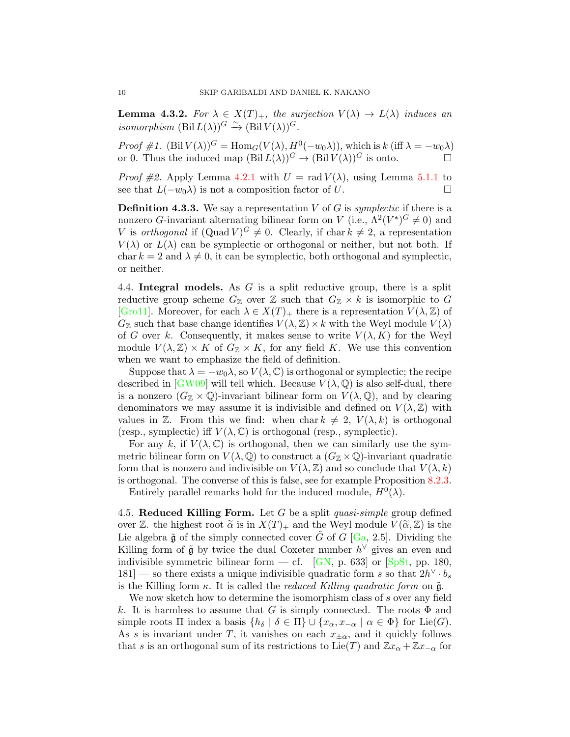<span id="page-9-0"></span>**Lemma 4.3.2.** For  $\lambda \in X(T)_+$ , the surjection  $V(\lambda) \to L(\lambda)$  induces an isomorphism  $(Bil L(\lambda))$ <sup>G</sup>  $\stackrel{\sim}{\to} (Bil V(\lambda))$ <sup>G</sup>.

Proof #1.  $(\text{Bil } V(\lambda))$ <sup>G</sup> = Hom<sub>G</sub> $(V(\lambda), H^0(-w_0\lambda))$ , which is k (iff  $\lambda = -w_0\lambda$ ) or 0. Thus the induced map  $(Bil L(\lambda))$ <sup>G</sup>  $\rightarrow (Bl l V(\lambda))$ <sup>G</sup> is onto.

*Proof #2.* Apply Lemma [4.2.1](#page-8-1) with  $U = \text{rad } V(\lambda)$ , using Lemma [5.1.1](#page-11-1) to see that  $L(-w_0)$  is not a composition factor of U. □

**Definition 4.3.3.** We say a representation V of G is symplectic if there is a nonzero *G*-invariant alternating bilinear form on V (i.e.,  $\Lambda^2(V^*)^G \neq 0$ ) and V is orthogonal if  $(\text{Quad } V)^G \neq 0$ . Clearly, if char  $k \neq 2$ , a representation  $V(\lambda)$  or  $L(\lambda)$  can be symplectic or orthogonal or neither, but not both. If char  $k = 2$  and  $\lambda \neq 0$ , it can be symplectic, both orthogonal and symplectic, or neither.

<span id="page-9-1"></span>4.4. Integral models. As G is a split reductive group, there is a split reductive group scheme  $G_{\mathbb{Z}}$  over  $\mathbb{Z}$  such that  $G_{\mathbb{Z}} \times k$  is isomorphic to G [\[Gro11\]](#page-25-14). Moreover, for each  $\lambda \in X(T)_+$  there is a representation  $V(\lambda, \mathbb{Z})$  of  $G_{\mathbb{Z}}$  such that base change identifies  $V(\lambda, \mathbb{Z}) \times k$  with the Weyl module  $V(\lambda)$ of G over k. Consequently, it makes sense to write  $V(\lambda, K)$  for the Weyl module  $V(\lambda, \mathbb{Z}) \times K$  of  $G_{\mathbb{Z}} \times K$ , for any field K. We use this convention when we want to emphasize the field of definition.

Suppose that  $\lambda = -w_0\lambda$ , so  $V(\lambda, \mathbb{C})$  is orthogonal or symplectic; the recipe described in [\[GW09\]](#page-25-2) will tell which. Because  $V(\lambda, \mathbb{Q})$  is also self-dual, there is a nonzero  $(G_{\mathbb{Z}} \times \mathbb{Q})$ -invariant bilinear form on  $V(\lambda, \mathbb{Q})$ , and by clearing denominators we may assume it is indivisible and defined on  $V(\lambda, \mathbb{Z})$  with values in Z. From this we find: when char  $k \neq 2$ ,  $V(\lambda, k)$  is orthogonal (resp., symplectic) iff  $V(\lambda, \mathbb{C})$  is orthogonal (resp., symplectic).

For any k, if  $V(\lambda, \mathbb{C})$  is orthogonal, then we can similarly use the symmetric bilinear form on  $V(\lambda, \mathbb{Q})$  to construct a  $(G_{\mathbb{Z}} \times \mathbb{Q})$ -invariant quadratic form that is nonzero and indivisible on  $V(\lambda, \mathbb{Z})$  and so conclude that  $V(\lambda, k)$ is orthogonal. The converse of this is false, see for example Proposition [8.2.3.](#page-18-0)

Entirely parallel remarks hold for the induced module,  $H^0(\lambda)$ .

<span id="page-9-2"></span>4.5. Reduced Killing Form. Let G be a split quasi-simple group defined over Z. the highest root  $\tilde{\alpha}$  is in  $X(T)_+$  and the Weyl module  $V(\tilde{\alpha}, \mathbb{Z})$  is the Lie algebra  $\tilde{\mathfrak g}$  of the simply connected cover  $\tilde{G}$  of G [\[Ga,](#page-25-15) 2.5]. Dividing the Killing form of  $\tilde{\mathfrak{g}}$  by twice the dual Coxeter number  $h^{\vee}$  gives an even and indivisible symmetric bilinear form — cf. [\[GN,](#page-25-16) p. 633] or [\[SpSt,](#page-26-3) pp. 180, 181] — so there exists a unique indivisible quadratic form s so that  $2h^{\vee} \cdot b_s$ is the Killing form  $\kappa$ . It is called the *reduced Killing quadratic form* on  $\tilde{\mathfrak{g}}$ .

We now sketch how to determine the isomorphism class of s over any field k. It is harmless to assume that G is simply connected. The roots  $\Phi$  and simple roots  $\Pi$  index a basis  $\{h_\delta \mid \delta \in \Pi\} \cup \{x_\alpha, x_{-\alpha} \mid \alpha \in \Phi\}$  for Lie(G). As s is invariant under T, it vanishes on each  $x_{\pm\alpha}$ , and it quickly follows that s is an orthogonal sum of its restrictions to Lie(T) and  $\mathbb{Z}x_{\alpha} + \mathbb{Z}x_{-\alpha}$  for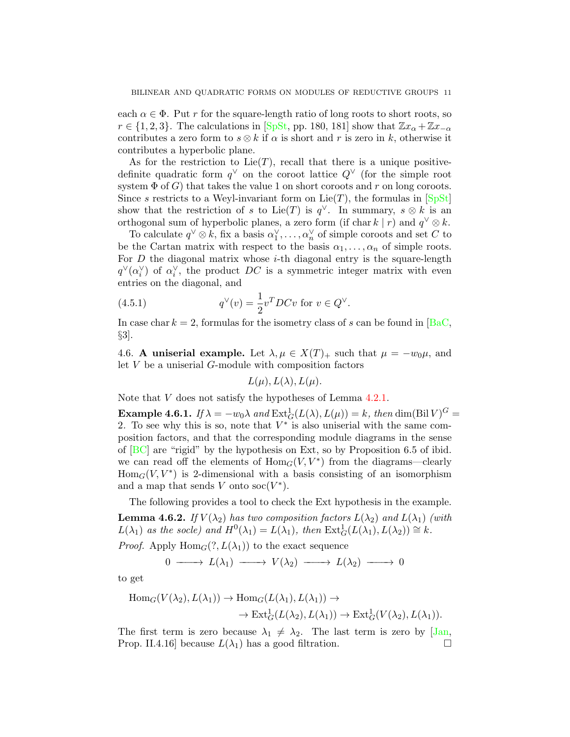each  $\alpha \in \Phi$ . Put r for the square-length ratio of long roots to short roots, so  $r \in \{1, 2, 3\}$ . The calculations in [\[SpSt,](#page-26-3) pp. 180, 181] show that  $\mathbb{Z}x_{\alpha} + \mathbb{Z}x_{-\alpha}$ contributes a zero form to  $s \otimes k$  if  $\alpha$  is short and r is zero in k, otherwise it contributes a hyperbolic plane.

As for the restriction to  $Lie(T)$ , recall that there is a unique positivedefinite quadratic form  $q^{\vee}$  on the coroot lattice  $Q^{\vee}$  (for the simple root system  $\Phi$  of G) that takes the value 1 on short coroots and r on long coroots. Since s restricts to a Weyl-invariant form on  $Lie(T)$ , the formulas in  $[SpSt]$ show that the restriction of s to Lie(T) is  $q^{\vee}$ . In summary, s ⊗ k is an orthogonal sum of hyperbolic planes, a zero form (if char k | r) and  $q^{\vee} \otimes k$ .

To calculate  $q^{\vee} \otimes k$ , fix a basis  $\alpha_1^{\vee}, \ldots, \alpha_n^{\vee}$  of simple coroots and set C to be the Cartan matrix with respect to the basis  $\alpha_1, \ldots, \alpha_n$  of simple roots. For  $D$  the diagonal matrix whose  $i$ -th diagonal entry is the square-length  $q^{\vee}(\alpha_i^{\vee})$  of  $\alpha_i^{\vee}$ , the product DC is a symmetric integer matrix with even entries on the diagonal, and

(4.5.1) 
$$
q^{\vee}(v) = \frac{1}{2}v^{T}DCv \text{ for } v \in Q^{\vee}.
$$

In case char  $k = 2$ , formulas for the isometry class of s can be found in [\[BaC,](#page-24-0) §3].

<span id="page-10-0"></span>4.6. A uniserial example. Let  $\lambda, \mu \in X(T)_+$  such that  $\mu = -w_0\mu$ , and let V be a uniserial G-module with composition factors

<span id="page-10-2"></span>
$$
L(\mu), L(\lambda), L(\mu).
$$

Note that V does not satisfy the hypotheses of Lemma [4.2.1.](#page-8-1)

**Example 4.6.1.** If  $\lambda = -w_0\lambda$  and  $\text{Ext}^1_G(L(\lambda), L(\mu)) = k$ , then  $\dim(\text{Bil } V)^G =$ 2. To see why this is so, note that  $V^*$  is also uniserial with the same composition factors, and that the corresponding module diagrams in the sense of [\[BC\]](#page-24-2) are "rigid" by the hypothesis on Ext, so by Proposition 6.5 of ibid. we can read off the elements of  $Hom_G(V, V^*)$  from the diagrams—clearly  $\text{Hom}_G(V, V^*)$  is 2-dimensional with a basis consisting of an isomorphism and a map that sends V onto  $\operatorname{soc}(V^*)$ .

The following provides a tool to check the Ext hypothesis in the example.

<span id="page-10-1"></span>**Lemma 4.6.2.** If  $V(\lambda_2)$  has two composition factors  $L(\lambda_2)$  and  $L(\lambda_1)$  (with  $L(\lambda_1)$  as the socle) and  $H^0(\lambda_1) = L(\lambda_1)$ , then  $\text{Ext}^1_G(L(\lambda_1), L(\lambda_2)) \cong k$ .

*Proof.* Apply  $\text{Hom}_G(?, L(\lambda_1))$  to the exact sequence

$$
0 \longrightarrow L(\lambda_1) \longrightarrow V(\lambda_2) \longrightarrow L(\lambda_2) \longrightarrow 0
$$

to get

$$
\text{Hom}_G(V(\lambda_2), L(\lambda_1)) \to \text{Hom}_G(L(\lambda_1), L(\lambda_1)) \to
$$
  

$$
\to \text{Ext}^1_G(L(\lambda_2), L(\lambda_1)) \to \text{Ext}^1_G(V(\lambda_2), L(\lambda_1)).
$$

The first term is zero because  $\lambda_1 \neq \lambda_2$ . The last term is zero by [\[Jan,](#page-25-7) Prop. II.4.16] because  $L(\lambda_1)$  has a good filtration.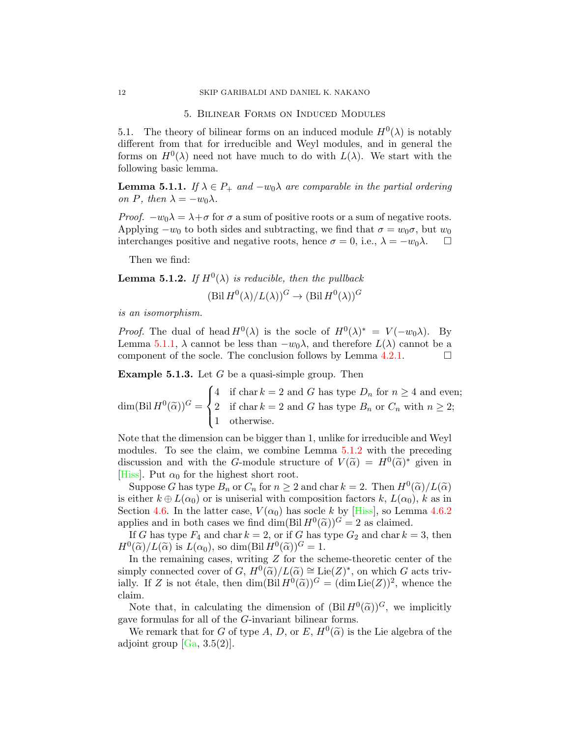5. Bilinear Forms on Induced Modules

<span id="page-11-0"></span>5.1. The theory of bilinear forms on an induced module  $H^0(\lambda)$  is notably different from that for irreducible and Weyl modules, and in general the forms on  $H^0(\lambda)$  need not have much to do with  $L(\lambda)$ . We start with the following basic lemma.

<span id="page-11-1"></span>**Lemma 5.1.1.** If  $\lambda \in P_+$  and  $-w_0\lambda$  are comparable in the partial ordering on P, then  $\lambda = -w_0\lambda$ .

*Proof.*  $-w_0\lambda = \lambda + \sigma$  for  $\sigma$  a sum of positive roots or a sum of negative roots. Applying  $-w_0$  to both sides and subtracting, we find that  $\sigma = w_0 \sigma$ , but  $w_0$ interchanges positive and negative roots, hence  $\sigma = 0$ , i.e.,  $\lambda = -w_0\lambda$ .  $\Box$ 

Then we find:

<span id="page-11-2"></span>**Lemma 5.1.2.** If  $H^0(\lambda)$  is reducible, then the pullback

 $(Bil H^0(\lambda)/L(\lambda))^G \to (Bil H^0(\lambda))^G$ 

is an isomorphism.

*Proof.* The dual of head  $H^0(\lambda)$  is the socle of  $H^0(\lambda)^* = V(-w_0\lambda)$ . By Lemma [5.1.1,](#page-11-1)  $\lambda$  cannot be less than  $-w_0\lambda$ , and therefore  $L(\lambda)$  cannot be a component of the socle. The conclusion follows by Lemma [4.2.1.](#page-8-1)  $\Box$ 

**Example 5.1.3.** Let  $G$  be a quasi-simple group. Then

 $\dim(\text{Bil } H^0(\widetilde{\alpha}))^G =$  $\sqrt{ }$  $\int$  $\mathcal{L}$ 4 if char  $k = 2$  and G has type  $D_n$  for  $n \geq 4$  and even; 2 if char  $k = 2$  and G has type  $B_n$  or  $C_n$  with  $n \geq 2$ ; 1 otherwise.

Note that the dimension can be bigger than 1, unlike for irreducible and Weyl modules. To see the claim, we combine Lemma [5.1.2](#page-11-2) with the preceding discussion and with the G-module structure of  $V(\tilde{\alpha}) = H^0(\tilde{\alpha})^*$  given in [\[Hiss\]](#page-25-17). Put  $\alpha_0$  for the highest short root.

Suppose G has type  $B_n$  or  $C_n$  for  $n \geq 2$  and char  $k = 2$ . Then  $H^0(\tilde{\alpha})/L(\tilde{\alpha})$  arithment  $k \oplus L(\alpha_0)$  or is unisorial with composition factors  $k \cdot L(\alpha_0)$ ,  $k$  as in is either  $k \oplus L(\alpha_0)$  or is uniserial with composition factors k,  $L(\alpha_0)$ , k as in Section [4.6.](#page-10-0) In the latter case,  $V(\alpha_0)$  has socle k by [\[Hiss\]](#page-25-17), so Lemma [4.6.2](#page-10-1) applies and in both cases we find  $\dim(\text{Bi } H^0(\tilde{\alpha}))^G = 2$  as claimed.<br>If G has type  $F_k$  and char  $k = 2$  or if G has type  $G_k$  and char  $k = 1$ .

If G has type  $F_4$  and char  $k = 2$ , or if G has type  $G_2$  and char  $k = 3$ , then  $H^0(\widetilde{\alpha})/L(\widetilde{\alpha})$  is  $L(\alpha_0)$ , so dim(Bil  $H^0(\widetilde{\alpha})$ )<sup> $G = 1$ </sup>.<br>In the remaining cases, writing Z for the sq

In the remaining cases, writing  $Z$  for the scheme-theoretic center of the simply connected cover of  $G, H^0(\tilde{\alpha})/L(\tilde{\alpha}) \cong \text{Lie}(Z)^*$ , on which G acts triv-<br>inlly If Z is not étale, then dim(Bil  $H^0(\tilde{\alpha})/G = (\dim \text{Lie}(Z))^2$ , whence the ially. If Z is not étale, then  $\dim(\text{Bil } H^0(\tilde{\alpha}))^G = (\dim \text{Lie}(Z))^2$ , whence the claim claim.

Note that, in calculating the dimension of  $(Bil H^0(\tilde{\alpha}))^G$ , we implicitly we formulas for all of the *G* invariant bilinear forms. gave formulas for all of the G-invariant bilinear forms.

We remark that for G of type A, D, or E,  $H^0(\tilde{\alpha})$  is the Lie algebra of the isometries  $[G_2, 3, 5(2)]$ adjoint group  $[Ga, 3.5(2)].$  $[Ga, 3.5(2)].$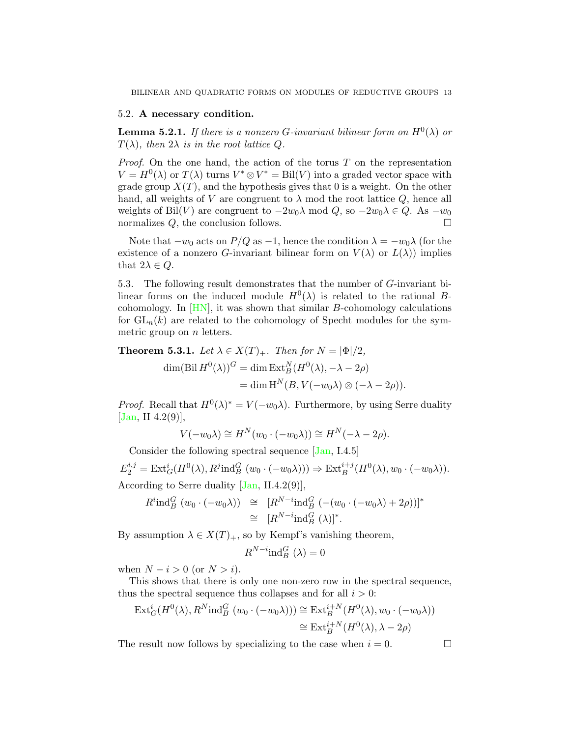### 5.2. A necessary condition.

<span id="page-12-1"></span>**Lemma 5.2.1.** If there is a nonzero G-invariant bilinear form on  $H^0(\lambda)$  or  $T(\lambda)$ , then  $2\lambda$  is in the root lattice Q.

*Proof.* On the one hand, the action of the torus  $T$  on the representation  $V = H^{0}(\lambda)$  or  $T(\lambda)$  turns  $V^* \otimes V^* = \text{Bil}(V)$  into a graded vector space with grade group  $X(T)$ , and the hypothesis gives that 0 is a weight. On the other hand, all weights of V are congruent to  $\lambda$  mod the root lattice  $Q$ , hence all weights of Bil(V) are congruent to  $-2w_0\lambda$  mod  $Q$ , so  $-2w_0\lambda \in Q$ . As  $-w_0$ normalizes  $Q$ , the conclusion follows.

Note that  $-w_0$  acts on  $P/Q$  as  $-1$ , hence the condition  $\lambda = -w_0\lambda$  (for the existence of a nonzero G-invariant bilinear form on  $V(\lambda)$  or  $L(\lambda)$  implies that  $2\lambda \in Q$ .

5.3. The following result demonstrates that the number of G-invariant bilinear forms on the induced module  $H^0(\lambda)$  is related to the rational Bcohomology. In  $[HN]$ , it was shown that similar B-cohomology calculations for  $GL_n(k)$  are related to the cohomology of Specht modules for the symmetric group on  $n$  letters.

<span id="page-12-0"></span>**Theorem 5.3.1.** Let  $\lambda \in X(T)_+$ . Then for  $N = |\Phi|/2$ ,

$$
\dim(\text{Bil } H^0(\lambda))^G = \dim \text{Ext}_B^N(H^0(\lambda), -\lambda - 2\rho)
$$
  
= 
$$
\dim \text{H}^N(B, V(-w_0\lambda) \otimes (-\lambda - 2\rho)).
$$

*Proof.* Recall that  $H^0(\lambda)^* = V(-w_0\lambda)$ . Furthermore, by using Serre duality  $[Jan, II 4.2(9)],$  $[Jan, II 4.2(9)],$ 

$$
V(-w_0\lambda) \cong H^N(w_0 \cdot (-w_0\lambda)) \cong H^N(-\lambda - 2\rho).
$$

Consider the following spectral sequence [\[Jan,](#page-25-7) I.4.5]

 $E_2^{i,j} = \text{Ext}^i_G(H^0(\lambda), R^j \text{ind}_B^G(w_0 \cdot (-w_0\lambda))) \Rightarrow \text{Ext}^{i+j}_B(H^0(\lambda), w_0 \cdot (-w_0\lambda)).$ According to Serre duality [\[Jan,](#page-25-7) II.4.2(9)],

$$
R^{i}\text{ind}_{B}^{G}(w_{0}\cdot(-w_{0}\lambda)) \cong [R^{N-i}\text{ind}_{B}^{G}(-(w_{0}\cdot(-w_{0}\lambda)+2\rho))]^{*}
$$
  

$$
\cong [R^{N-i}\text{ind}_{B}^{G}(\lambda)]^{*}.
$$

By assumption  $\lambda \in X(T)_+$ , so by Kempf's vanishing theorem,

$$
R^{N-i}\text{ind}_{B}^{G}(\lambda)=0
$$

when  $N - i > 0$  (or  $N > i$ ).

This shows that there is only one non-zero row in the spectral sequence, thus the spectral sequence thus collapses and for all  $i > 0$ :

$$
\operatorname{Ext}^i_G(H^0(\lambda), R^N \operatorname{ind}_B^G(w_0 \cdot (-w_0 \lambda))) \cong \operatorname{Ext}^{i+N}_B(H^0(\lambda), w_0 \cdot (-w_0 \lambda))
$$
  

$$
\cong \operatorname{Ext}^{i+N}_B(H^0(\lambda), \lambda - 2\rho)
$$

The result now follows by specializing to the case when  $i = 0$ .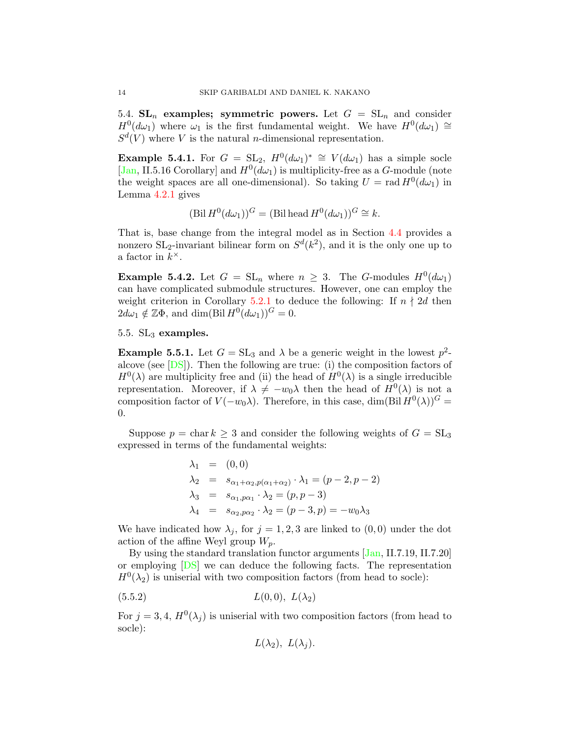5.4.  $SL_n$  examples; symmetric powers. Let  $G = SL_n$  and consider  $H^0(d\omega_1)$  where  $\omega_1$  is the first fundamental weight. We have  $H^0(d\omega_1) \cong$  $S^d(V)$  where V is the natural *n*-dimensional representation.

**Example 5.4.1.** For  $G = SL_2$ ,  $H^0(d\omega_1)^* \cong V(d\omega_1)$  has a simple socle [\[Jan,](#page-25-7) II.5.16 Corollary] and  $H^0(d\omega_1)$  is multiplicity-free as a G-module (note the weight spaces are all one-dimensional). So taking  $U = \text{rad } H^0(d\omega_1)$  in Lemma [4.2.1](#page-8-1) gives

$$
(\text{Bil } H^0(d\omega_1))^G = (\text{Bil head } H^0(d\omega_1))^G \cong k.
$$

That is, base change from the integral model as in Section [4.4](#page-9-1) provides a nonzero  $SL_2$ -invariant bilinear form on  $S^d(k^2)$ , and it is the only one up to a factor in  $k^{\times}$ .

**Example 5.4.2.** Let  $G = SL_n$  where  $n \geq 3$ . The G-modules  $H^0(d\omega_1)$ can have complicated submodule structures. However, one can employ the weight criterion in Corollary [5.2.1](#page-12-1) to deduce the following: If  $n \nmid 2d$  then  $2d\omega_1 \notin \mathbb{Z}\Phi$ , and dim(Bil  $H^0(d\omega_1))^G = 0$ .

## <span id="page-13-0"></span>5.5. SL<sup>3</sup> examples.

**Example 5.5.1.** Let  $G = SL_3$  and  $\lambda$  be a generic weight in the lowest  $p^2$ alcove (see [\[DS\]](#page-25-19)). Then the following are true: (i) the composition factors of  $H^0(\lambda)$  are multiplicity free and (ii) the head of  $H^0(\lambda)$  is a single irreducible representation. Moreover, if  $\lambda \neq -w_0\lambda$  then the head of  $H^0(\lambda)$  is not a composition factor of  $V(-w_0\lambda)$ . Therefore, in this case, dim(Bil  $H^0(\lambda)$ )<sup>*G*</sup> = 0.

Suppose  $p = \text{char } k \geq 3$  and consider the following weights of  $G = SL_3$ expressed in terms of the fundamental weights:

$$
\lambda_1 = (0, 0) \n\lambda_2 = s_{\alpha_1 + \alpha_2, p(\alpha_1 + \alpha_2)} \cdot \lambda_1 = (p - 2, p - 2) \n\lambda_3 = s_{\alpha_1, p\alpha_1} \cdot \lambda_2 = (p, p - 3) \n\lambda_4 = s_{\alpha_2, p\alpha_2} \cdot \lambda_2 = (p - 3, p) = -w_0 \lambda_3
$$

We have indicated how  $\lambda_j$ , for  $j = 1, 2, 3$  are linked to  $(0, 0)$  under the dot action of the affine Weyl group  $W_p$ .

By using the standard translation functor arguments [\[Jan,](#page-25-7) II.7.19, II.7.20] or employing [\[DS\]](#page-25-19) we can deduce the following facts. The representation  $H^0(\lambda_2)$  is uniserial with two composition factors (from head to socle):

$$
(5.5.2) \tL(0,0), L(\lambda_2)
$$

For  $j = 3, 4, H^0(\lambda_j)$  is uniserial with two composition factors (from head to socle):

$$
L(\lambda_2), L(\lambda_j).
$$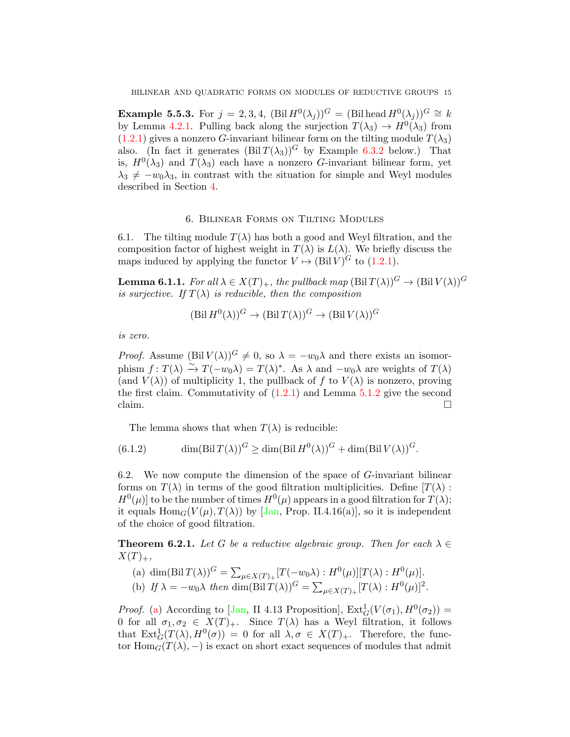**Example 5.5.3.** For  $j = 2, 3, 4$ ,  $(\text{Bil } H^0(\lambda_j))^G = (\text{Bil head } H^0(\lambda_j))^G \cong k$ by Lemma [4.2.1.](#page-8-1) Pulling back along the surjection  $T(\lambda_3) \to H^0(\lambda_3)$  from  $(1.2.1)$  gives a nonzero G-invariant bilinear form on the tilting module  $T(\lambda_3)$ also. (In fact it generates  $(Bil T(\lambda_3))^G$  by Example [6.3.2](#page-15-0) below.) That is,  $H^0(\lambda_3)$  and  $T(\lambda_3)$  each have a nonzero *G*-invariant bilinear form, yet  $\lambda_3 \neq -w_0\lambda_3$ , in contrast with the situation for simple and Weyl modules described in Section [4.](#page-8-0)

### 6. Bilinear Forms on Tilting Modules

<span id="page-14-0"></span>6.1. The tilting module  $T(\lambda)$  has both a good and Weyl filtration, and the composition factor of highest weight in  $T(\lambda)$  is  $L(\lambda)$ . We briefly discuss the maps induced by applying the functor  $V \mapsto (\text{Bil } V)^G$  to [\(1.2.1\)](#page-1-0).

**Lemma 6.1.1.** For all  $\lambda \in X(T)_+$ , the pullback map  $(\text{Bil } T(\lambda))^G \to (\text{Bil } V(\lambda))^G$ is surjective. If  $T(\lambda)$  is reducible, then the composition

$$
(\text{Bil } H^0(\lambda))^G \to (\text{Bil } T(\lambda))^G \to (\text{Bil } V(\lambda))^G
$$

is zero.

*Proof.* Assume  $(Bil V(\lambda))$ <sup>G</sup>  $\neq$  0, so  $\lambda = -w_0\lambda$  and there exists an isomorphism  $f: T(\lambda) \xrightarrow{\sim} T(-w_0\lambda) = T(\lambda)^*$ . As  $\lambda$  and  $-w_0\lambda$  are weights of  $T(\lambda)$ (and  $V(\lambda)$ ) of multiplicity 1, the pullback of f to  $V(\lambda)$  is nonzero, proving the first claim. Commutativity of  $(1.2.1)$  and Lemma  $5.1.2$  give the second claim.  $\Box$ 

<span id="page-14-4"></span>The lemma shows that when  $T(\lambda)$  is reducible:

(6.1.2)  $\dim(\text{Bil } T(\lambda))^G \geq \dim(\text{Bil } H^0(\lambda))^G + \dim(\text{Bil } V(\lambda))^G$ .

6.2. We now compute the dimension of the space of  $G$ -invariant bilinear forms on  $T(\lambda)$  in terms of the good filtration multiplicities. Define  $T(\lambda)$ :  $H^0(\mu)$  to be the number of times  $H^0(\mu)$  appears in a good filtration for  $T(\lambda)$ ; it equals  $\text{Hom}_G(V(\mu), T(\lambda))$  by [\[Jan,](#page-25-7) Prop. II.4.16(a)], so it is independent of the choice of good filtration.

<span id="page-14-1"></span>**Theorem 6.2.1.** Let G be a reductive algebraic group. Then for each  $\lambda \in$  $X(T)_+,$ 

<span id="page-14-3"></span><span id="page-14-2"></span>(a) dim(Bil 
$$
T(\lambda)
$$
)<sup>G</sup> =  $\sum_{\mu \in X(T)_{+}} [T(-w_0\lambda) : H^0(\mu)][T(\lambda) : H^0(\mu)].$   
(b) If  $\lambda = -w_0\lambda$  then dim(Bil  $T(\lambda)$ )<sup>G</sup> =  $\sum_{\mu \in X(T)_{+}} [T(\lambda) : H^0(\mu)]^2$ .

*Proof.* [\(a\)](#page-14-2) According to [\[Jan,](#page-25-7) II 4.13 Proposition],  $\text{Ext}_G^1(V(\sigma_1), H^0(\sigma_2))$  = 0 for all  $\sigma_1, \sigma_2 \in X(T)_+$ . Since  $T(\lambda)$  has a Weyl filtration, it follows that  $\text{Ext}^1_G(T(\lambda), H^0(\sigma)) = 0$  for all  $\lambda, \sigma \in X(T)_+$ . Therefore, the functor  $\text{Hom}_G(T(\lambda), -)$  is exact on short exact sequences of modules that admit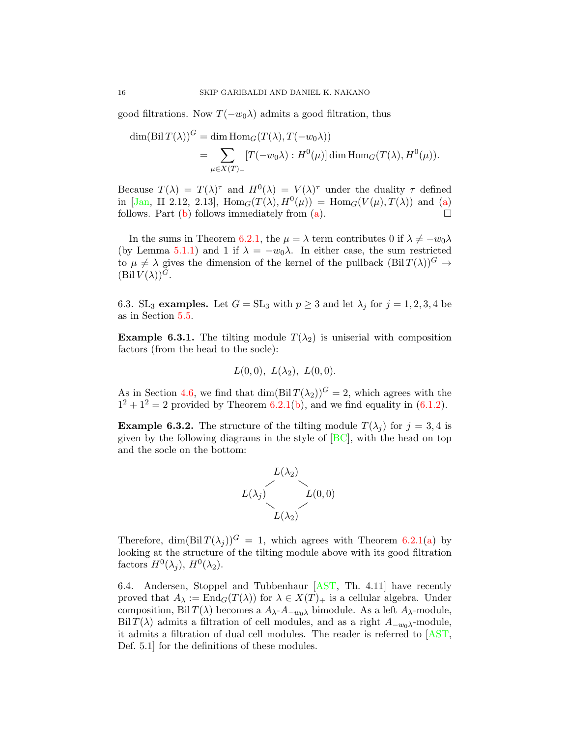good filtrations. Now  $T(-w_0\lambda)$  admits a good filtration, thus

$$
\dim(\text{Bil}\,T(\lambda))^G = \dim \text{Hom}_G(T(\lambda), T(-w_0\lambda))
$$
  
= 
$$
\sum_{\mu \in X(T)_+} [T(-w_0\lambda) : H^0(\mu)] \dim \text{Hom}_G(T(\lambda), H^0(\mu)).
$$

Because  $T(\lambda) = T(\lambda)^\tau$  and  $H^0(\lambda) = V(\lambda)^\tau$  under the duality  $\tau$  defined in [\[Jan,](#page-25-7) II 2.12, 2.13],  $\text{Hom}_G(T(\lambda), H^0(\mu)) = \text{Hom}_G(V(\mu), T(\lambda))$  and [\(a\)](#page-14-2) follows. Part [\(b\)](#page-14-3) follows immediately from [\(a\)](#page-14-2).  $\Box$ 

In the sums in Theorem [6.2.1,](#page-14-1) the  $\mu = \lambda$  term contributes 0 if  $\lambda \neq -w_0\lambda$ (by Lemma [5.1.1\)](#page-11-1) and 1 if  $\lambda = -w_0\lambda$ . In either case, the sum restricted to  $\mu \neq \lambda$  gives the dimension of the kernel of the pullback  $(Bil T(\lambda))$ <sup>G</sup>  $\rightarrow$  $(Bil V(\lambda))$ <sup>G</sup>.

6.3. SL<sub>3</sub> examples. Let  $G = SL_3$  with  $p \geq 3$  and let  $\lambda_j$  for  $j = 1, 2, 3, 4$  be as in Section [5.5.](#page-13-0)

**Example 6.3.1.** The tilting module  $T(\lambda_2)$  is uniserial with composition factors (from the head to the socle):

$$
L(0,0), L(\lambda_2), L(0,0).
$$

As in Section [4.6,](#page-10-0) we find that  $\dim(\text{Bil }T(\lambda_2))^G = 2$ , which agrees with the  $1^2 + 1^2 = 2$  provided by Theorem [6.2.1\(](#page-14-1)[b\)](#page-14-3), and we find equality in [\(6.1.2\)](#page-14-4).

<span id="page-15-0"></span>**Example 6.3.2.** The structure of the tilting module  $T(\lambda_i)$  for  $j = 3, 4$  is given by the following diagrams in the style of  $[BC]$ , with the head on top and the socle on the bottom:



Therefore,  $\dim(\text{Bil}\,T(\lambda_i))^G = 1$ , which agrees with Theorem [6.2.1\(](#page-14-1)[a\)](#page-14-2) by looking at the structure of the tilting module above with its good filtration factors  $H^0(\lambda_j)$ ,  $H^0(\lambda_2)$ .

6.4. Andersen, Stoppel and Tubbenhaur [\[AST,](#page-24-3) Th. 4.11] have recently proved that  $A_{\lambda} := \text{End}_G(T(\lambda))$  for  $\lambda \in X(T)_+$  is a cellular algebra. Under composition, Bil  $T(\lambda)$  becomes a  $A_{\lambda}$ - $A_{-w_0\lambda}$  bimodule. As a left  $A_{\lambda}$ -module, Bil  $T(\lambda)$  admits a filtration of cell modules, and as a right  $A_{-w_0\lambda}$ -module, it admits a filtration of dual cell modules. The reader is referred to [\[AST,](#page-24-3) Def. 5.1] for the definitions of these modules.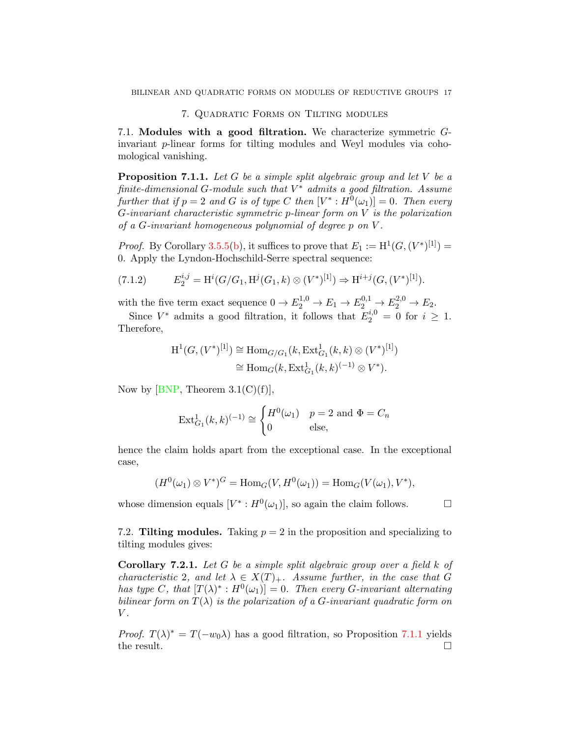### 7. Quadratic Forms on Tilting modules

<span id="page-16-0"></span>7.1. Modules with a good filtration. We characterize symmetric Ginvariant p-linear forms for tilting modules and Weyl modules via cohomological vanishing.

<span id="page-16-1"></span>**Proposition 7.1.1.** Let G be a simple split algebraic group and let V be a  $finite\text{-}dimensional G\text{-}module \text{ such that } V^* \text{ admits a good filtration.} Assume$ further that if  $p = 2$  and G is of type C then  $[V^* : H^0(\omega_1)] = 0$ . Then every G-invariant characteristic symmetric p-linear form on V is the polarization of a  $G$ -invariant homogeneous polynomial of degree  $p$  on  $V$ .

*Proof.* By Corollary [3.5.5](#page-7-3)[\(b\)](#page-7-1), it suffices to prove that  $E_1 := H^1(G, (V^*)^{[1]}) =$ 0. Apply the Lyndon-Hochschild-Serre spectral sequence:

$$
(7.1.2) \tE_2^{i,j} = \mathrm{H}^i(G/G_1, \mathrm{H}^j(G_1, k) \otimes (V^*)^{[1]}) \Rightarrow \mathrm{H}^{i+j}(G, (V^*)^{[1]}).
$$

with the five term exact sequence  $0 \to E_2^{1,0} \to E_1 \to E_2^{0,1} \to E_2^{2,0} \to E_2$ .

Since  $V^*$  admits a good filtration, it follows that  $E_2^{i,0} = 0$  for  $i \geq 1$ . Therefore,

$$
H^1(G, (V^*)^{[1]}) \cong \text{Hom}_{G/G_1}(k, \text{Ext}^1_{G_1}(k, k) \otimes (V^*)^{[1]})
$$
  

$$
\cong \text{Hom}_G(k, \text{Ext}^1_{G_1}(k, k)^{(-1)} \otimes V^*).
$$

Now by [\[BNP,](#page-24-4) Theorem  $3.1(C)(f)$ ],

$$
\operatorname{Ext}_{G_1}^1(k,k)^{(-1)} \cong \begin{cases} H^0(\omega_1) & p = 2 \text{ and } \Phi = C_n \\ 0 & \text{else,} \end{cases}
$$

hence the claim holds apart from the exceptional case. In the exceptional case,

$$
(H^0(\omega_1) \otimes V^*)^G = \text{Hom}_G(V, H^0(\omega_1)) = \text{Hom}_G(V(\omega_1), V^*),
$$

whose dimension equals  $[V^*: H^0(\omega_1)],$  so again the claim follows.  $\Box$ 

7.2. Tilting modules. Taking  $p = 2$  in the proposition and specializing to tilting modules gives:

**Corollary 7.2.1.** Let G be a simple split algebraic group over a field  $k$  of characteristic 2, and let  $\lambda \in X(T)_+$ . Assume further, in the case that G has type C, that  $[T(\lambda)^*: H^0(\omega_1)]=0$ . Then every G-invariant alternating bilinear form on  $T(\lambda)$  is the polarization of a G-invariant quadratic form on  $V$ .

*Proof.*  $T(\lambda)^* = T(-w_0\lambda)$  has a good filtration, so Proposition [7.1.1](#page-16-1) yields the result.  $\square$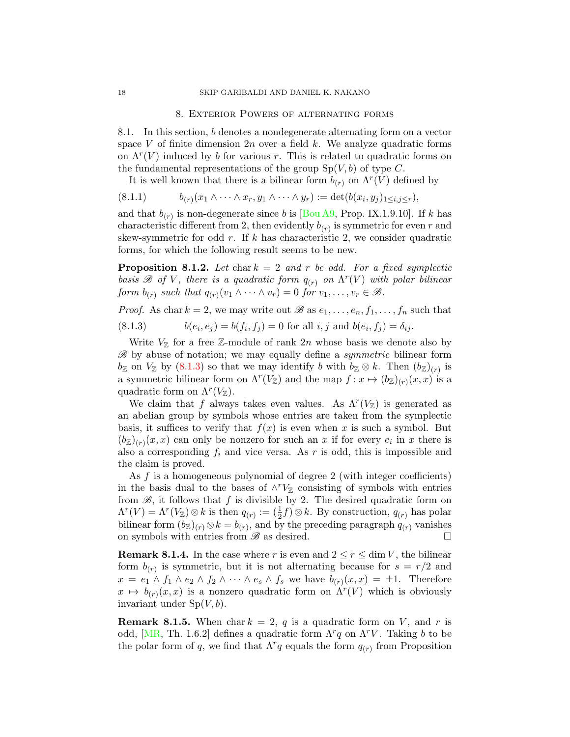### 8. Exterior Powers of alternating forms

<span id="page-17-0"></span>8.1. In this section, b denotes a nondegenerate alternating form on a vector space V of finite dimension  $2n$  over a field k. We analyze quadratic forms on  $\Lambda^r(V)$  induced by b for various r. This is related to quadratic forms on the fundamental representations of the group  $Sp(V, b)$  of type C.

<span id="page-17-2"></span>It is well known that there is a bilinear form  $b_{(r)}$  on  $\Lambda^r(V)$  defined by

$$
(8.1.1) \t b_{(r)}(x_1 \wedge \cdots \wedge x_r, y_1 \wedge \cdots \wedge y_r) := \det(b(x_i, y_j)_{1 \leq i,j \leq r}),
$$

and that  $b_{(r)}$  is non-degenerate since b is [\[Bou A9,](#page-25-20) Prop. IX.1.9.10]. If k has characteristic different from 2, then evidently  $b_{(r)}$  is symmetric for even r and skew-symmetric for odd  $r$ . If  $k$  has characteristic 2, we consider quadratic forms, for which the following result seems to be new.

<span id="page-17-3"></span>**Proposition 8.1.2.** Let chark  $= 2$  and r be odd. For a fixed symplectic basis  $\mathscr B$  of V, there is a quadratic form  $q_{(r)}$  on  $\Lambda^r(V)$  with polar bilinear form  $b_{(r)}$  such that  $q_{(r)}(v_1 \wedge \cdots \wedge v_r) = 0$  for  $v_1, \ldots, v_r \in \mathscr{B}$ .

<span id="page-17-1"></span>*Proof.* As char  $k = 2$ , we may write out  $\mathscr{B}$  as  $e_1, \ldots, e_n, f_1, \ldots, f_n$  such that  $(8.1.3)$  $(e_i, e_j) = b(f_i, f_j) = 0$  for all  $i, j$  and  $b(e_i, f_j) = \delta_{ij}$ .

Write  $V_{\mathbb{Z}}$  for a free Z-module of rank  $2n$  whose basis we denote also by  $\mathscr{B}$  by abuse of notation; we may equally define a *symmetric* bilinear form  $b_{\mathbb{Z}}$  on  $V_{\mathbb{Z}}$  by  $(8.1.3)$  so that we may identify b with  $b_{\mathbb{Z}} \otimes k$ . Then  $(b_{\mathbb{Z}})_{(r)}$  is a symmetric bilinear form on  $\Lambda^r(V_{\mathbb{Z}})$  and the map  $f: x \mapsto (b_{\mathbb{Z}})_{(r)}(x, x)$  is a quadratic form on  $\Lambda^r(V_{\mathbb{Z}})$ .

We claim that f always takes even values. As  $\Lambda^r(V_{\mathbb{Z}})$  is generated as an abelian group by symbols whose entries are taken from the symplectic basis, it suffices to verify that  $f(x)$  is even when x is such a symbol. But  $(b_{\mathbb{Z}})_{(r)}(x,x)$  can only be nonzero for such an x if for every  $e_i$  in x there is also a corresponding  $f_i$  and vice versa. As r is odd, this is impossible and the claim is proved.

As f is a homogeneous polynomial of degree 2 (with integer coefficients) in the basis dual to the bases of  $\wedge^r V_{\mathbb{Z}}$  consisting of symbols with entries from  $\mathscr{B}$ , it follows that f is divisible by 2. The desired quadratic form on  $\Lambda^{r}(V) = \Lambda^{r}(V_{\mathbb{Z}}) \otimes k$  is then  $q_{(r)} := (\frac{1}{2}f) \otimes k$ . By construction,  $q_{(r)}$  has polar bilinear form  $(b_{\mathbb{Z}})_{(r)} \otimes k = b_{(r)}$ , and by the preceding paragraph  $q_{(r)}$  vanishes on symbols with entries from  $\mathscr B$  as desired.

**Remark 8.1.4.** In the case where r is even and  $2 \le r \le \dim V$ , the bilinear form  $b_{(r)}$  is symmetric, but it is not alternating because for  $s = r/2$  and  $x = e_1 \wedge f_1 \wedge e_2 \wedge f_2 \wedge \cdots \wedge e_s \wedge f_s$  we have  $b_{(r)}(x, x) = \pm 1$ . Therefore  $x \mapsto b_{(r)}(x, x)$  is a nonzero quadratic form on  $\Lambda^{r}(V)$  which is obviously invariant under  $Sp(V, b)$ .

**Remark 8.1.5.** When char  $k = 2$ , q is a quadratic form on V, and r is odd, [\[MR,](#page-25-21) Th. 1.6.2] defines a quadratic form  $\Lambda^r q$  on  $\Lambda^r V$ . Taking b to be the polar form of q, we find that  $\Lambda^r q$  equals the form  $q_{(r)}$  from Proposition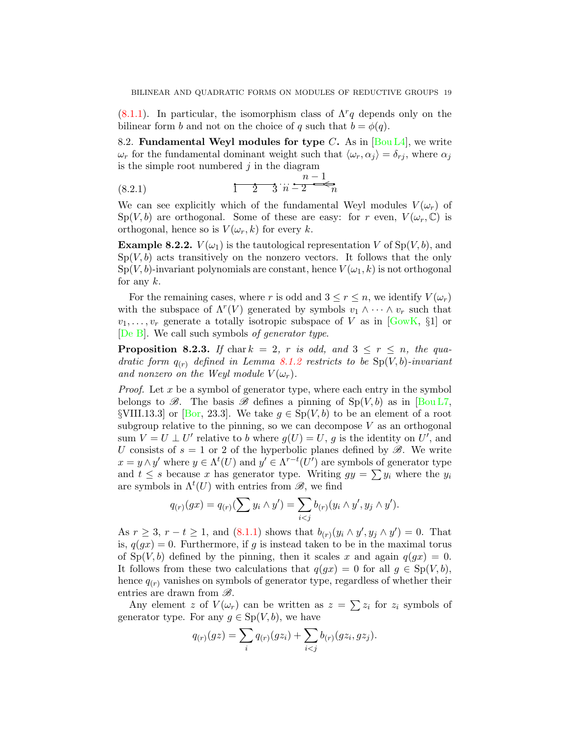$(8.1.1)$ . In particular, the isomorphism class of  $\Lambda^r q$  depends only on the bilinear form b and not on the choice of q such that  $b = \phi(q)$ .

8.2. Fundamental Weyl modules for type C. As in  $\lbrack \text{Bou L4}\rbrack$ , we write  $\omega_r$  for the fundamental dominant weight such that  $\langle \omega_r, \alpha_j \rangle = \delta_{rj}$ , where  $\alpha_j$ is the simple root numbered  $j$  in the diagram

<span id="page-18-1"></span>(8.2.1) 
$$
\frac{1}{1} \quad \frac{1}{2} \quad \frac{n-1}{3} \quad n-2 \quad \frac{n-1}{n}
$$

We can see explicitly which of the fundamental Weyl modules  $V(\omega_r)$  of  $Sp(V, b)$  are orthogonal. Some of these are easy: for r even,  $V(\omega_r, \mathbb{C})$  is orthogonal, hence so is  $V(\omega_r, k)$  for every k.

<span id="page-18-2"></span>**Example 8.2.2.**  $V(\omega_1)$  is the tautological representation V of  $Sp(V, b)$ , and  $Sp(V, b)$  acts transitively on the nonzero vectors. It follows that the only  $Sp(V, b)$ -invariant polynomials are constant, hence  $V(\omega_1, k)$  is not orthogonal for any  $k$ .

For the remaining cases, where r is odd and  $3 \leq r \leq n$ , we identify  $V(\omega_r)$ with the subspace of  $\Lambda^r(V)$  generated by symbols  $v_1 \wedge \cdots \wedge v_r$  such that  $v_1, \ldots, v_r$  generate a totally isotropic subspace of V as in [\[GowK,](#page-25-22) §1] or [\[De B\]](#page-25-23). We call such symbols of generator type.

<span id="page-18-0"></span>**Proposition 8.2.3.** If chark = 2, r is odd, and  $3 \leq r \leq n$ , the quadratic form  $q_{(r)}$  defined in Lemma [8.1.2](#page-17-3) restricts to be  $Sp(V, b)$ -invariant and nonzero on the Weyl module  $V(\omega_r)$ .

*Proof.* Let x be a symbol of generator type, where each entry in the symbol belongs to  $\mathscr{B}$ . The basis  $\mathscr{B}$  defines a pinning of  $\text{Sp}(V, b)$  as in [\[Bou L7,](#page-25-3) §VIII.13.3] or [\[Bor,](#page-24-5) 23.3]. We take  $g \in Sp(V, b)$  to be an element of a root subgroup relative to the pinning, so we can decompose  $V$  as an orthogonal sum  $V = U \perp U'$  relative to b where  $g(U) = U$ , g is the identity on U', and U consists of  $s = 1$  or 2 of the hyperbolic planes defined by  $\mathscr{B}$ . We write  $x = y \wedge y'$  where  $y \in \Lambda^t(U)$  and  $y' \in \Lambda^{r-t}(U')$  are symbols of generator type and  $t \leq s$  because x has generator type. Writing  $gy = \sum y_i$  where the  $y_i$ are symbols in  $\Lambda^t(U)$  with entries from  $\mathscr{B}$ , we find

$$
q_{(r)}(gx) = q_{(r)}(\sum y_i \wedge y') = \sum_{i < j} b_{(r)}(y_i \wedge y', y_j \wedge y').
$$

As  $r \ge 3$ ,  $r - t \ge 1$ , and  $(8.1.1)$  shows that  $b_{(r)}(y_i \wedge y', y_j \wedge y') = 0$ . That is,  $q(gx) = 0$ . Furthermore, if g is instead taken to be in the maximal torus of  $\text{Sp}(V, b)$  defined by the pinning, then it scales x and again  $q(gx) = 0$ . It follows from these two calculations that  $q(gx) = 0$  for all  $q \in Sp(V, b)$ , hence  $q_{(r)}$  vanishes on symbols of generator type, regardless of whether their entries are drawn from  $\mathscr{B}$ .

Any element z of  $V(\omega_r)$  can be written as  $z = \sum z_i$  for  $z_i$  symbols of generator type. For any  $g \in Sp(V, b)$ , we have

$$
q_{(r)}(gz) = \sum_{i} q_{(r)}(gz_i) + \sum_{i < j} b_{(r)}(gz_i, gz_j).
$$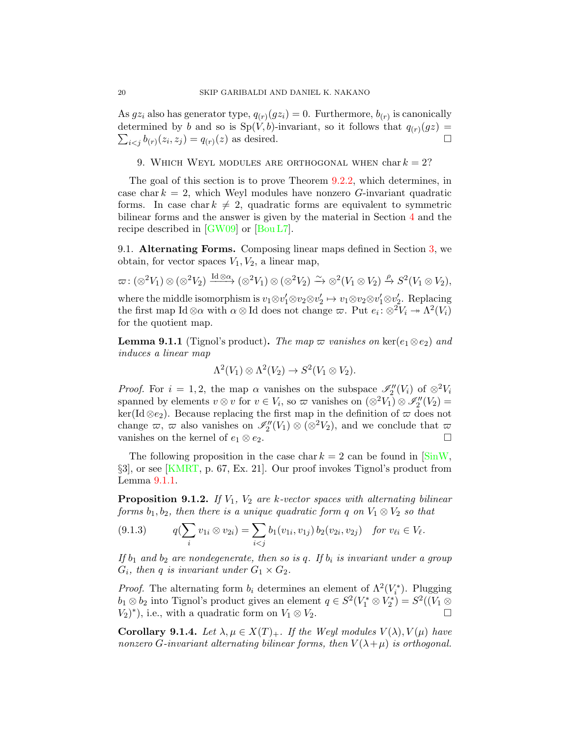As  $gz_i$  also has generator type,  $q_{(r)}(gz_i) = 0$ . Furthermore,  $b_{(r)}$  is canonically determined by b and so is  $Sp(V, b)$ -invariant, so it follows that  $q_{(r)}(gz)$  $\sum_{i < j} b_{(r)}(z_i, z_j) = q_{(r)}(z)$  as desired.

### <span id="page-19-0"></span>9. WHICH WEYL MODULES ARE ORTHOGONAL WHEN  $char\,k=2$ ?

The goal of this section is to prove Theorem [9.2.2,](#page-20-0) which determines, in case char  $k = 2$ , which Weyl modules have nonzero G-invariant quadratic forms. In case char  $k \neq 2$ , quadratic forms are equivalent to symmetric bilinear forms and the answer is given by the material in Section [4](#page-8-0) and the recipe described in [\[GW09\]](#page-25-2) or [\[Bou L7\]](#page-25-3).

9.1. Alternating Forms. Composing linear maps defined in Section [3,](#page-4-0) we obtain, for vector spaces  $V_1, V_2$ , a linear map,

$$
\varpi: (\otimes^2 V_1) \otimes (\otimes^2 V_2) \xrightarrow{\mathrm{Id} \otimes \alpha} (\otimes^2 V_1) \otimes (\otimes^2 V_2) \xrightarrow{\sim} \otimes^2 (V_1 \otimes V_2) \xrightarrow{\rho} S^2(V_1 \otimes V_2),
$$

where the middle isomorphism is  $v_1 \otimes v_1' \otimes v_2 \otimes v_2' \mapsto v_1 \otimes v_2 \otimes v_1' \otimes v_2'$ . Replacing the first map Id  $\otimes \alpha$  with  $\alpha \otimes \text{Id}$  does not change  $\varpi$ . Put  $e_i : \otimes^2 V_i \to \Lambda^2(V_i)$ for the quotient map.

<span id="page-19-1"></span>**Lemma 9.1.1** (Tignol's product). The map  $\varpi$  vanishes on ker( $e_1 \otimes e_2$ ) and induces a linear map

$$
\Lambda^2(V_1)\otimes\Lambda^2(V_2)\to S^2(V_1\otimes V_2).
$$

*Proof.* For  $i = 1, 2$ , the map  $\alpha$  vanishes on the subspace  $\mathscr{I}_2''(V_i)$  of  $\otimes^2 V_i$ spanned by elements  $v \otimes v$  for  $v \in V_i$ , so  $\varpi$  vanishes on  $(\otimes^2 V_1) \otimes \mathscr{I}_2''(V_2) =$  $\ker(\text{Id}\otimes e_2)$ . Because replacing the first map in the definition of  $\varpi$  does not change  $\varpi, \varpi$  also vanishes on  $\mathscr{I}_2''(V_1) \otimes (\otimes^2 V_2)$ , and we conclude that  $\varpi$ vanishes on the kernel of  $e_1 \otimes e_2$ .

The following proposition in the case char  $k = 2$  can be found in  $\text{SinW}$ , §3], or see [\[KMRT,](#page-25-4) p. 67, Ex. 21]. Our proof invokes Tignol's product from Lemma [9.1.1.](#page-19-1)

<span id="page-19-2"></span>**Proposition 9.1.2.** If  $V_1$ ,  $V_2$  are k-vector spaces with alternating bilinear forms  $b_1, b_2$ , then there is a unique quadratic form q on  $V_1 \otimes V_2$  so that

<span id="page-19-3"></span>
$$
(9.1.3) \tq(\sum_i v_{1i} \otimes v_{2i}) = \sum_{i < j} b_1(v_{1i}, v_{1j}) b_2(v_{2i}, v_{2j}) \quad \text{for } v_{\ell i} \in V_{\ell}.
$$

If  $b_1$  and  $b_2$  are nondegenerate, then so is q. If  $b_i$  is invariant under a group  $G_i$ , then q is invariant under  $G_1 \times G_2$ .

*Proof.* The alternating form  $b_i$  determines an element of  $\Lambda^2(V_i^*)$ . Plugging  $b_1 \otimes b_2$  into Tignol's product gives an element  $q \in S^2(V_1^* \otimes V_2^*) = S^2((V_1 \otimes$  $(V_2)^*$ ), i.e., with a quadratic form on  $V_1 \otimes V_2$ .

<span id="page-19-4"></span>Corollary 9.1.4. Let  $\lambda, \mu \in X(T)_+$ . If the Weyl modules  $V(\lambda), V(\mu)$  have nonzero G-invariant alternating bilinear forms, then  $V(\lambda + \mu)$  is orthogonal.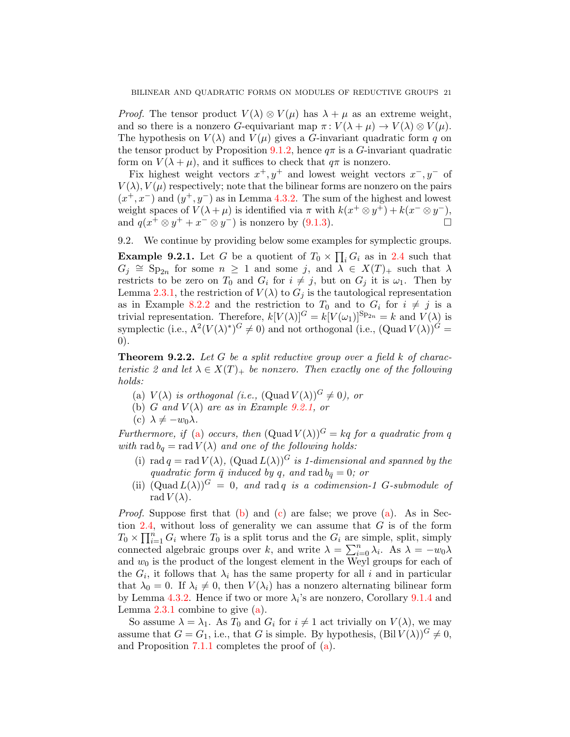*Proof.* The tensor product  $V(\lambda) \otimes V(\mu)$  has  $\lambda + \mu$  as an extreme weight, and so there is a nonzero G-equivariant map  $\pi: V(\lambda + \mu) \to V(\lambda) \otimes V(\mu)$ . The hypothesis on  $V(\lambda)$  and  $V(\mu)$  gives a G-invariant quadratic form q on the tensor product by Proposition [9.1.2,](#page-19-2) hence  $q\pi$  is a G-invariant quadratic form on  $V(\lambda + \mu)$ , and it suffices to check that  $q\pi$  is nonzero.

Fix highest weight vectors  $x^+, y^+$  and lowest weight vectors  $x^-, y^-$  of  $V(\lambda)$ ,  $V(\mu)$  respectively; note that the bilinear forms are nonzero on the pairs  $(x^+, x^-)$  and  $(y^+, y^-)$  as in Lemma [4.3.2.](#page-9-0) The sum of the highest and lowest weight spaces of  $V(\lambda + \mu)$  is identified via  $\pi$  with  $k(x^+ \otimes y^+) + k(x^- \otimes y^-)$ , and  $q(x^+ \otimes y^+ + x^- \otimes y^-)$  is nonzero by [\(9.1.3\)](#page-19-3).

9.2. We continue by providing below some examples for symplectic groups.

<span id="page-20-1"></span>**Example 9.2.1.** Let G be a quotient of  $T_0 \times \prod_i G_i$  as in [2.4](#page-4-3) such that  $G_j \cong \text{Sp}_{2n}$  for some  $n \geq 1$  and some j, and  $\lambda \in X(T)_+$  such that  $\lambda$ restricts to be zero on  $T_0$  and  $G_i$  for  $i \neq j$ , but on  $G_j$  it is  $\omega_1$ . Then by Lemma [2.3.1,](#page-3-1) the restriction of  $V(\lambda)$  to  $G_i$  is the tautological representation as in Example [8.2.2](#page-18-2) and the restriction to  $T_0$  and to  $G_i$  for  $i \neq j$  is a trivial representation. Therefore,  $k[V(\lambda)]^G = k[V(\omega_1)]^{\text{Sp}_{2n}} = k$  and  $V(\lambda)$  is symplectic (i.e.,  $\Lambda^2 (V(\lambda))^G \neq 0$ ) and not orthogonal (i.e.,  $(\text{Quad } V(\lambda))^G =$ 0).

<span id="page-20-0"></span>**Theorem 9.2.2.** Let G be a split reductive group over a field k of characteristic 2 and let  $\lambda \in X(T)$  be nonzero. Then exactly one of the following holds:

- <span id="page-20-2"></span>(a)  $V(\lambda)$  is orthogonal (i.e.,  $(\text{Quad } V(\lambda))$ <sup>G</sup>  $\neq 0$ ), or
- <span id="page-20-3"></span>(b) G and  $V(\lambda)$  are as in Example [9.2.1,](#page-20-1) or
- <span id="page-20-4"></span>(c)  $\lambda \neq -w_0\lambda$ .

Furthermore, if [\(a\)](#page-20-2) occurs, then  $(Quad V(\lambda))^G = kq$  for a quadratic from q with rad  $b_q = \text{rad } V(\lambda)$  and one of the following holds:

- <span id="page-20-5"></span>(i) rad  $q = \text{rad } V(\lambda)$ ,  $(\text{Quad } L(\lambda))$ <sup>G</sup> is 1-dimensional and spanned by the quadratic form  $\bar{q}$  induced by q, and rad  $b_{\bar{q}} = 0$ ; or
- <span id="page-20-6"></span>(ii)  $(\text{Quad } L(\lambda))^G = 0$ , and rad q is a codimension-1 G-submodule of rad  $V(\lambda)$ .

*Proof.* Suppose first that  $(b)$  and  $(c)$  are false; we prove  $(a)$ . As in Sec-tion [2.4,](#page-4-3) without loss of generality we can assume that  $G$  is of the form  $T_0 \times \prod_{i=1}^n G_i$  where  $T_0$  is a split torus and the  $G_i$  are simple, split, simply connected algebraic groups over k, and write  $\lambda = \sum_{i=0}^{n} \lambda_i$ . As  $\lambda = -w_0\lambda$ and  $w_0$  is the product of the longest element in the Weyl groups for each of the  $G_i$ , it follows that  $\lambda_i$  has the same property for all i and in particular that  $\lambda_0 = 0$ . If  $\lambda_i \neq 0$ , then  $V(\lambda_i)$  has a nonzero alternating bilinear form by Lemma [4.3.2.](#page-9-0) Hence if two or more  $\lambda_i$ 's are nonzero, Corollary [9.1.4](#page-19-4) and Lemma  $2.3.1$  combine to give  $(a)$ .

So assume  $\lambda = \lambda_1$ . As  $T_0$  and  $G_i$  for  $i \neq 1$  act trivially on  $V(\lambda)$ , we may assume that  $G = G_1$ , i.e., that G is simple. By hypothesis,  $(Bil V(\lambda))$ <sup>G</sup>  $\neq 0$ , and Proposition [7.1.1](#page-16-1) completes the proof of [\(a\)](#page-20-2).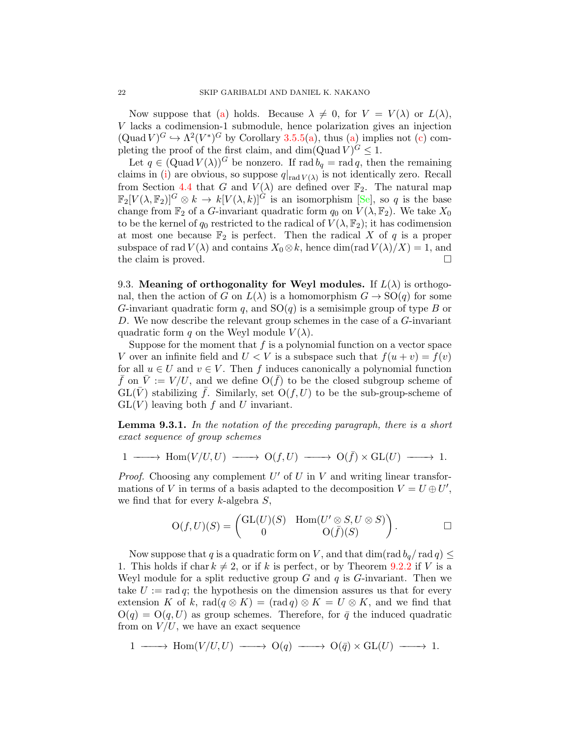Now suppose that [\(a\)](#page-20-2) holds. Because  $\lambda \neq 0$ , for  $V = V(\lambda)$  or  $L(\lambda)$ , V lacks a codimension-1 submodule, hence polarization gives an injection  $(\text{Quad } V)^G \hookrightarrow \Lambda^2(V^*)^G$  by Corollary [3.5.5\(](#page-7-3)[a\)](#page-7-2), thus [\(a\)](#page-20-2) implies not [\(c\)](#page-20-4) completing the proof of the first claim, and  $\dim(\mathrm{Quad}\, V)^G \leq 1$ .

Let  $q \in (Quad V(\lambda))^G$  be nonzero. If rad  $b_q = rad q$ , then the remaining claims in [\(i\)](#page-20-5) are obvious, so suppose  $q|_{rad V(\lambda)}$  is not identically zero. Recall from Section [4.4](#page-9-1) that G and  $V(\lambda)$  are defined over  $\mathbb{F}_2$ . The natural map  $\mathbb{F}_2[V(\lambda, \mathbb{F}_2)]^G \otimes k \to k[V(\lambda, k)]^G$  is an isomorphism [\[Se\]](#page-25-24), so q is the base change from  $\mathbb{F}_2$  of a G-invariant quadratic form  $q_0$  on  $V(\lambda, \mathbb{F}_2)$ . We take  $X_0$ to be the kernel of  $q_0$  restricted to the radical of  $V(\lambda, \mathbb{F}_2)$ ; it has codimension at most one because  $\mathbb{F}_2$  is perfect. Then the radical X of q is a proper subspace of rad  $V(\lambda)$  and contains  $X_0 \otimes k$ , hence dim(rad  $V(\lambda)/X$ ) = 1, and the claim is proved.

9.3. Meaning of orthogonality for Weyl modules. If  $L(\lambda)$  is orthogonal, then the action of G on  $L(\lambda)$  is a homomorphism  $G \to SO(q)$  for some G-invariant quadratic form q, and  $SO(q)$  is a semisimple group of type B or D. We now describe the relevant group schemes in the case of a G-invariant quadratic form q on the Weyl module  $V(\lambda)$ .

Suppose for the moment that  $f$  is a polynomial function on a vector space V over an infinite field and  $U < V$  is a subspace such that  $f(u + v) = f(v)$ for all  $u \in U$  and  $v \in V$ . Then f induces canonically a polynomial function  $\bar{f}$  on  $\bar{V} := V / U$ , and we define  $O(\bar{f})$  to be the closed subgroup scheme of  $GL(V)$  stabilizing f. Similarly, set  $O(f, U)$  to be the sub-group-scheme of  $GL(V)$  leaving both f and U invariant.

Lemma 9.3.1. In the notation of the preceding paragraph, there is a short exact sequence of group schemes

$$
1 \longrightarrow \text{Hom}(V/U, U) \longrightarrow \text{O}(f, U) \longrightarrow \text{O}(\bar{f}) \times \text{GL}(U) \longrightarrow 1.
$$

*Proof.* Choosing any complement  $U'$  of  $U$  in  $V$  and writing linear transformations of V in terms of a basis adapted to the decomposition  $V = U \oplus U'$ , we find that for every  $k$ -algebra  $S$ ,

$$
O(f, U)(S) = \begin{pmatrix} GL(U)(S) & Hom(U' \otimes S, U \otimes S) \\ 0 & O(\bar{f})(S) \end{pmatrix}.
$$

Now suppose that q is a quadratic form on V, and that  $\dim(\text{rad }b_q/\text{rad }q) \leq$ 1. This holds if char  $k \neq 2$ , or if k is perfect, or by Theorem [9.2.2](#page-20-0) if V is a Weyl module for a split reductive group  $G$  and  $q$  is  $G$ -invariant. Then we take  $U := \text{rad } q$ ; the hypothesis on the dimension assures us that for every extension K of k, rad $(q \otimes K) = (\text{rad } q) \otimes K = U \otimes K$ , and we find that  $O(q) = O(q, U)$  as group schemes. Therefore, for  $\bar{q}$  the induced quadratic from on  $V/U$ , we have an exact sequence

1  $\longrightarrow$  Hom(V/U,U)  $\longrightarrow$  O(q)  $\longrightarrow$  O( $\bar{q}$ ) × GL(U)  $\longrightarrow$  1.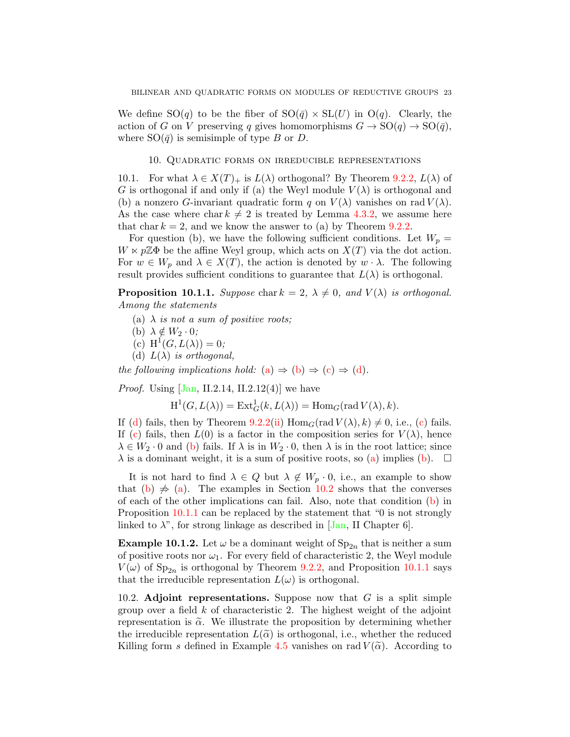We define  $SO(q)$  to be the fiber of  $SO(\bar{q}) \times SL(U)$  in  $O(q)$ . Clearly, the action of G on V preserving q gives homomorphisms  $G \to SO(q) \to SO(\bar{q}),$ where  $SO(\bar{q})$  is semisimple of type B or D.

# 10. Quadratic forms on irreducible representations

<span id="page-22-0"></span>10.1. For what  $\lambda \in X(T)_+$  is  $L(\lambda)$  orthogonal? By Theorem [9.2.2,](#page-20-0)  $L(\lambda)$  of G is orthogonal if and only if (a) the Weyl module  $V(\lambda)$  is orthogonal and (b) a nonzero G-invariant quadratic form q on  $V(\lambda)$  vanishes on rad  $V(\lambda)$ . As the case where char  $k \neq 2$  is treated by Lemma [4.3.2,](#page-9-0) we assume here that char  $k = 2$ , and we know the answer to (a) by Theorem [9.2.2.](#page-20-0)

For question (b), we have the following sufficient conditions. Let  $W_p =$  $W \ltimes p\mathbb{Z}\Phi$  be the affine Weyl group, which acts on  $X(T)$  via the dot action. For  $w \in W_p$  and  $\lambda \in X(T)$ , the action is denoted by  $w \cdot \lambda$ . The following result provides sufficient conditions to guarantee that  $L(\lambda)$  is orthogonal.

<span id="page-22-6"></span>**Proposition 10.1.1.** Suppose char  $k = 2$ ,  $\lambda \neq 0$ , and  $V(\lambda)$  is orthogonal. Among the statements

- <span id="page-22-1"></span>(a)  $\lambda$  is not a sum of positive roots;
- <span id="page-22-2"></span>(b)  $\lambda \notin W_2 \cdot 0$ ;
- <span id="page-22-3"></span>(c)  $H^1(G, L(\lambda)) = 0;$
- <span id="page-22-4"></span>(d)  $L(\lambda)$  is orthogonal,

the following implications hold: [\(a\)](#page-22-1)  $\Rightarrow$  [\(b\)](#page-22-2)  $\Rightarrow$  [\(c\)](#page-22-3)  $\Rightarrow$  [\(d\)](#page-22-4).

*Proof.* Using  $\text{Jan}, \text{II}.2.14, \text{II}.2.12(4)$  we have

 $H^1(G, L(\lambda)) = \text{Ext}^1_G(k, L(\lambda)) = \text{Hom}_G(\text{rad } V(\lambda), k).$ 

If [\(d\)](#page-22-4) fails, then by Theorem [9.2.2\(](#page-20-0)[ii\)](#page-20-6)  $\text{Hom}_G(\text{rad } V(\lambda), k) \neq 0$ , i.e., [\(c\)](#page-22-3) fails. If [\(c\)](#page-22-3) fails, then  $L(0)$  is a factor in the composition series for  $V(\lambda)$ , hence  $\lambda \in W_2 \cdot 0$  and [\(b\)](#page-22-2) fails. If  $\lambda$  is in  $W_2 \cdot 0$ , then  $\lambda$  is in the root lattice; since  $\lambda$  is a dominant weight, it is a sum of positive roots, so [\(a\)](#page-22-1) implies [\(b\)](#page-22-2).  $\Box$ 

It is not hard to find  $\lambda \in Q$  but  $\lambda \notin W_p \cdot 0$ , i.e., an example to show that [\(b\)](#page-22-2)  $\neq$  [\(a\)](#page-22-1). The examples in Section [10.2](#page-22-5) shows that the converses of each of the other implications can fail. Also, note that condition [\(b\)](#page-22-2) in Proposition [10.1.1](#page-22-6) can be replaced by the statement that "0 is not strongly linked to  $\lambda$ ", for strong linkage as described in [\[Jan,](#page-25-7) II Chapter 6].

**Example 10.1.2.** Let  $\omega$  be a dominant weight of  $Sp_{2n}$  that is neither a sum of positive roots nor  $\omega_1$ . For every field of characteristic 2, the Weyl module  $V(\omega)$  of  $Sp_{2n}$  is orthogonal by Theorem [9.2.2,](#page-20-0) and Proposition [10.1.1](#page-22-6) says that the irreducible representation  $L(\omega)$  is orthogonal.

<span id="page-22-5"></span>10.2. Adjoint representations. Suppose now that  $G$  is a split simple group over a field  $k$  of characteristic 2. The highest weight of the adjoint representation is  $\tilde{\alpha}$ . We illustrate the proposition by determining whether the irreducible representation  $L(\tilde{\alpha})$  is orthogonal, i.e., whether the reduced Killing form s defined in Example [4.5](#page-9-2) vanishes on rad  $V(\tilde{\alpha})$ . According to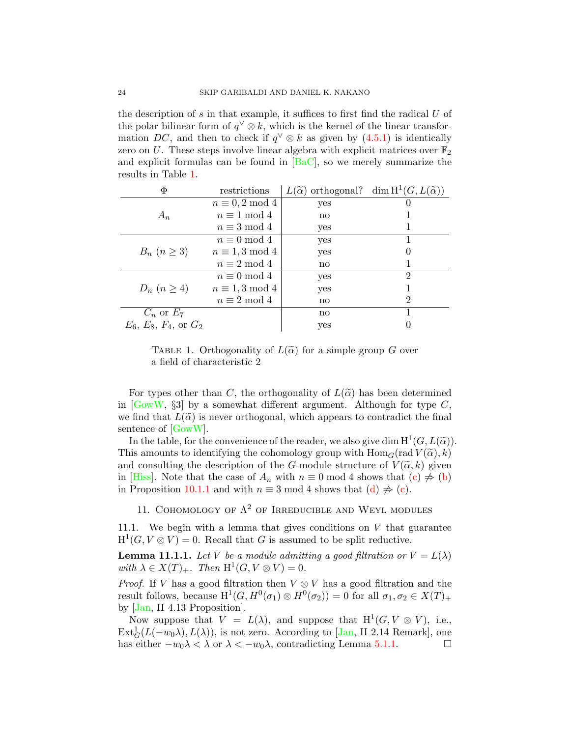the description of  $s$  in that example, it suffices to first find the radical  $U$  of the polar bilinear form of  $q^{\vee} \otimes k$ , which is the kernel of the linear transformation DC, and then to check if  $q^{\vee} \otimes k$  as given by  $(4.5.1)$  is identically zero on U. These steps involve linear algebra with explicit matrices over  $\mathbb{F}_2$ and explicit formulas can be found in  $[\text{BaC}]$ , so we merely summarize the results in Table [1.](#page-23-1)

| Φ                          | restrictions           | $L(\widetilde{\alpha})$ orthogonal? dim $H^1(G, L(\widetilde{\alpha}))$ |                |
|----------------------------|------------------------|-------------------------------------------------------------------------|----------------|
|                            | $n \equiv 0, 2 \mod 4$ | yes                                                                     |                |
| $A_n$                      | $n \equiv 1 \mod 4$    | no                                                                      |                |
|                            | $n \equiv 3 \mod 4$    | yes                                                                     |                |
|                            | $n \equiv 0 \mod 4$    | yes                                                                     |                |
| $B_n$ $(n \geq 3)$         | $n \equiv 1, 3 \mod 4$ | yes                                                                     |                |
|                            | $n \equiv 2 \mod 4$    | no                                                                      |                |
|                            | $n \equiv 0 \mod 4$    | yes                                                                     | $\mathfrak{D}$ |
| $D_n$ $(n \geq 4)$         | $n \equiv 1, 3 \mod 4$ | yes                                                                     |                |
|                            | $n \equiv 2 \mod 4$    | $\mathbf{no}$                                                           | 2              |
| $C_n$ or $E_7$             |                        | no                                                                      |                |
| $E_6, E_8, F_4$ , or $G_2$ |                        | yes                                                                     |                |

<span id="page-23-1"></span>TABLE 1. Orthogonality of  $L(\tilde{\alpha})$  for a simple group G over a field of characteristic 2

For types other than C, the orthogonality of  $L(\tilde{\alpha})$  has been determined in  $[GowW, \S3]$  $[GowW, \S3]$  by a somewhat different argument. Although for type C, we find that  $L(\tilde{\alpha})$  is never orthogonal, which appears to contradict the final sentence of [\[GowW\]](#page-25-8).

In the table, for the convenience of the reader, we also give dim  $H^1(G, L(\tilde{\alpha}))$ .<br>is amounts to identifying the cohomology group with Home (rad  $V(\tilde{\alpha})$ ). This amounts to identifying the cohomology group with  $\text{Hom}_G(\text{rad } V(\tilde{\alpha}), k)$ and consulting the description of the G-module structure of  $V(\tilde{\alpha}, k)$  given in [\[Hiss\]](#page-25-17). Note that the case of  $A_n$  with  $n \equiv 0 \mod 4$  shows that  $(c) \not\Rightarrow (b)$  $(c) \not\Rightarrow (b)$  $(c) \not\Rightarrow (b)$ in Proposition [10.1.1](#page-22-6) and with  $n \equiv 3 \mod 4$  shows that  $(d) \not\Rightarrow$  $(d) \not\Rightarrow$  [\(c\)](#page-22-3).

11. COHOMOLOGY OF  $\Lambda^2$  OF IRREDUCIBLE AND WEYL MODULES

<span id="page-23-0"></span>11.1. We begin with a lemma that gives conditions on  $V$  that guarantee  $H^1(G, V \otimes V) = 0$ . Recall that G is assumed to be split reductive.

<span id="page-23-2"></span>**Lemma 11.1.1.** Let V be a module admitting a good filtration or  $V = L(\lambda)$ with  $\lambda \in X(T)_+$ . Then  $H^1(G, V \otimes V) = 0$ .

*Proof.* If V has a good filtration then  $V \otimes V$  has a good filtration and the result follows, because  $H^1(G, H^0(\sigma_1) \otimes H^0(\sigma_2)) = 0$  for all  $\sigma_1, \sigma_2 \in X(T)_+$ by [\[Jan,](#page-25-7) II 4.13 Proposition].

Now suppose that  $V = L(\lambda)$ , and suppose that  $H^1(G, V \otimes V)$ , i.e.,  $\text{Ext}_G^1(L(-w_0\lambda), L(\lambda))$ , is not zero. According to [\[Jan,](#page-25-7) II 2.14 Remark], one has either  $-w_0\lambda < \lambda$  or  $\lambda < -w_0\lambda$ , contradicting Lemma [5.1.1.](#page-11-1)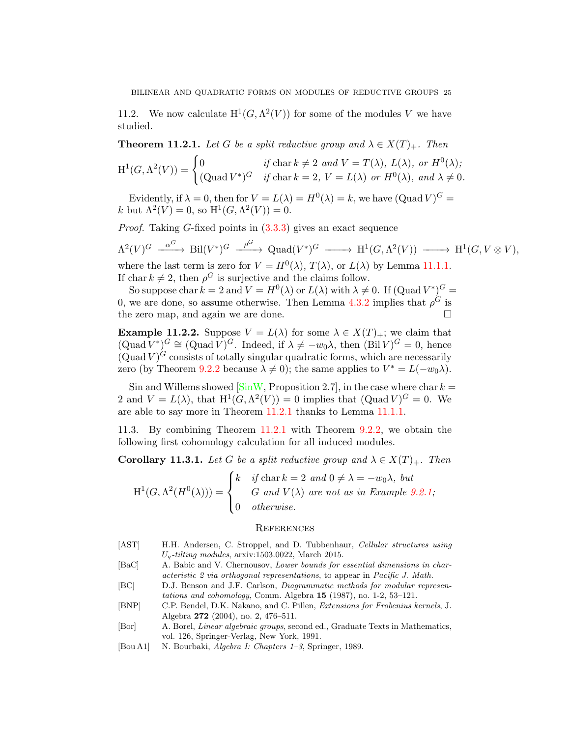11.2. We now calculate  $H^1(G, \Lambda^2(V))$  for some of the modules V we have studied.

<span id="page-24-6"></span>**Theorem 11.2.1.** Let G be a split reductive group and  $\lambda \in X(T)_{+}$ . Then

$$
\mathrm{H}^1(G, \Lambda^2(V)) = \begin{cases} 0 & \text{if char } k \neq 2 \text{ and } V = T(\lambda), L(\lambda), \text{ or } H^0(\lambda); \\ (\mathrm{Quad } V^*)^G & \text{if char } k = 2, V = L(\lambda) \text{ or } H^0(\lambda), \text{ and } \lambda \neq 0. \end{cases}
$$

Evidently, if  $\lambda = 0$ , then for  $V = L(\lambda) = H^0(\lambda) = k$ , we have  $(\text{Quad } V)^G =$ k but  $\Lambda^2(V) = 0$ , so  $H^1(G, \Lambda^2(V)) = 0$ .

Proof. Taking G-fixed points in [\(3.3.3\)](#page-6-0) gives an exact sequence

$$
\Lambda^2(V)^G \xrightarrow{\alpha^G} \text{Bil}(V^*)^G \xrightarrow{\rho^G} \text{Quad}(V^*)^G \xrightarrow{\qquad} \text{H}^1(G, \Lambda^2(V)) \xrightarrow{\qquad} \text{H}^1(G, V \otimes V),
$$

where the last term is zero for  $V = H^0(\lambda)$ ,  $T(\lambda)$ , or  $L(\lambda)$  by Lemma [11.1.1.](#page-23-2) If char  $k \neq 2$ , then  $\rho^G$  is surjective and the claims follow.

So suppose char  $k = 2$  and  $V = H^0(\lambda)$  or  $L(\lambda)$  with  $\lambda \neq 0$ . If  $(\text{Quad } V^*)^G =$ 0, we are done, so assume otherwise. Then Lemma [4.3.2](#page-9-0) implies that  $\rho^G$  is the zero map, and again we are done.

**Example 11.2.2.** Suppose  $V = L(\lambda)$  for some  $\lambda \in X(T)_+$ ; we claim that  $(\text{Quad } V^*)^G \cong (\text{Quad } V)^G$ . Indeed, if  $\lambda \neq -w_0\lambda$ , then  $(\text{Bil } V)^G = 0$ , hence  $(\text{Quad } V)^G$  consists of totally singular quadratic forms, which are necessarily zero (by Theorem [9.2.2](#page-20-0) because  $\lambda \neq 0$ ); the same applies to  $V^* = L(-w_0\lambda)$ .

Sin and Willems showed  $[\sin W,$  Proposition 2.7], in the case where char  $k =$ 2 and  $V = L(\lambda)$ , that  $H^1(G, \Lambda^2(V)) = 0$  implies that  $(Quad V)^G = 0$ . We are able to say more in Theorem [11.2.1](#page-24-6) thanks to Lemma [11.1.1.](#page-23-2)

11.3. By combining Theorem [11.2.1](#page-24-6) with Theorem [9.2.2,](#page-20-0) we obtain the following first cohomology calculation for all induced modules.

**Corollary 11.3.1.** Let G be a split reductive group and  $\lambda \in X(T)_{+}$ . Then

$$
H^{1}(G, \Lambda^{2}(H^{0}(\lambda))) = \begin{cases} k & \text{if char } k = 2 \text{ and } 0 \neq \lambda = -w_{0}\lambda, \text{ but} \\ G & \text{and } V(\lambda) \text{ are not as in Example 9.2.1;} \\ 0 & \text{otherwise.} \end{cases}
$$

### **REFERENCES**

- <span id="page-24-3"></span>[AST] H.H. Andersen, C. Stroppel, and D. Tubbenhaur, Cellular structures using  $U_q$ -tilting modules, arxiv:1503.0022, March 2015.
- <span id="page-24-0"></span>[BaC] A. Babic and V. Chernousov, Lower bounds for essential dimensions in characteristic 2 via orthogonal representations, to appear in Pacific J. Math.
- <span id="page-24-2"></span>[BC] D.J. Benson and J.F. Carlson, Diagrammatic methods for modular representations and cohomology, Comm. Algebra 15 (1987), no. 1-2, 53–121.
- <span id="page-24-4"></span>[BNP] C.P. Bendel, D.K. Nakano, and C. Pillen, Extensions for Frobenius kernels, J. Algebra 272 (2004), no. 2, 476–511.
- <span id="page-24-5"></span>[Bor] A. Borel, Linear algebraic groups, second ed., Graduate Texts in Mathematics, vol. 126, Springer-Verlag, New York, 1991.
- <span id="page-24-1"></span>[Bou A1] N. Bourbaki, Algebra I: Chapters 1–3, Springer, 1989.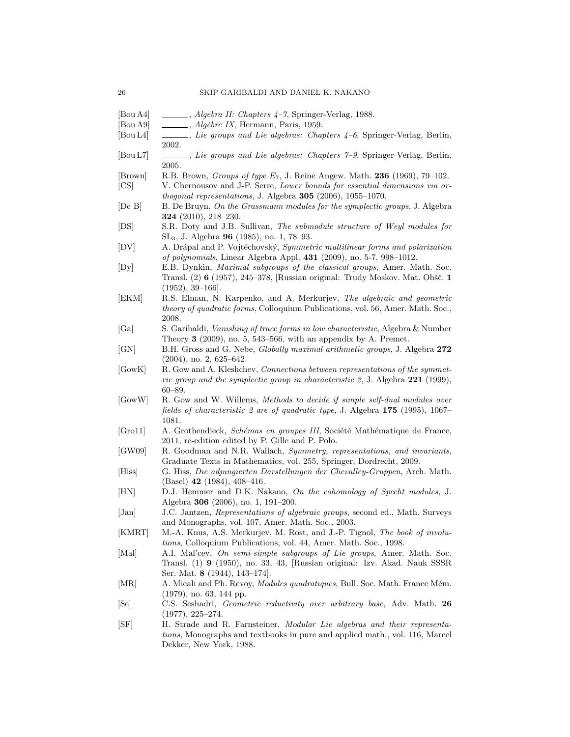- <span id="page-25-11"></span>[Bou A4] , Algebra II: Chapters 4-7, Springer-Verlag, 1988.
- <span id="page-25-20"></span> $[$ Bou A9 $] \quad \_\_\_\_\_$ , Algèbre IX, Hermann, Paris, 1959.
- <span id="page-25-10"></span>[Bou L4] , Lie groups and Lie algebras: Chapters 4–6, Springer-Verlag, Berlin, 2002.
- <span id="page-25-3"></span>[Bou L7] , Lie groups and Lie algebras: Chapters 7–9, Springer-Verlag, Berlin, 2005.
- <span id="page-25-9"></span>[Brown] R.B. Brown, Groups of type  $E_7$ , J. Reine Angew. Math. 236 (1969), 79–102.
- <span id="page-25-5"></span>[CS] V. Chernousov and J-P. Serre, Lower bounds for essential dimensions via orthogonal representations, J. Algebra 305 (2006), 1055–1070.
- <span id="page-25-23"></span>[De B] B. De Bruyn, On the Grassmann modules for the symplectic groups, J. Algebra 324 (2010), 218–230.
- <span id="page-25-19"></span>[DS] S.R. Doty and J.B. Sullivan, The submodule structure of Weyl modules for SL3, J. Algebra 96 (1985), no. 1, 78–93.
- <span id="page-25-13"></span>[DV] A. Drápal and P. Vojtěchovský, Symmetric multilinear forms and polarization of polynomials, Linear Algebra Appl. 431 (2009), no. 5-7, 998–1012.
- <span id="page-25-1"></span>[Dy] E.B. Dynkin, Maximal subgroups of the classical groups, Amer. Math. Soc. Transl. (2) 6 (1957), 245–378, [Russian original: Trudy Moskov. Mat. Obšč. 1 (1952), 39–166].
- <span id="page-25-12"></span>[EKM] R.S. Elman, N. Karpenko, and A. Merkurjev, The algebraic and geometric theory of quadratic forms, Colloquium Publications, vol. 56, Amer. Math. Soc., 2008.
- <span id="page-25-15"></span>[Ga] S. Garibaldi, Vanishing of trace forms in low characteristic, Algebra & Number Theory 3 (2009), no. 5, 543–566, with an appendix by A. Premet.
- <span id="page-25-16"></span>[GN] B.H. Gross and G. Nebe, Globally maximal arithmetic groups, J. Algebra 272 (2004), no. 2, 625–642.
- <span id="page-25-22"></span>[GowK] R. Gow and A. Kleshchev, Connections between representations of the symmetric group and the symplectic group in characteristic 2, J. Algebra 221 (1999), 60–89.
- <span id="page-25-8"></span>[GowW] R. Gow and W. Willems, Methods to decide if simple self-dual modules over fields of characteristic 2 are of quadratic type, J. Algebra 175 (1995), 1067– 1081.
- <span id="page-25-14"></span>[Gro11] A. Grothendieck, Schémas en groupes III, Société Mathématique de France, 2011, re-edition edited by P. Gille and P. Polo.
- <span id="page-25-2"></span>[GW09] R. Goodman and N.R. Wallach, Symmetry, representations, and invariants, Graduate Texts in Mathematics, vol. 255, Springer, Dordrecht, 2009.
- <span id="page-25-17"></span>[Hiss] G. Hiss, Die adjungierten Darstellungen der Chevalley-Gruppen, Arch. Math. (Basel) 42 (1984), 408–416.
- <span id="page-25-18"></span>[HN] D.J. Hemmer and D.K. Nakano, On the cohomology of Specht modules, J. Algebra 306 (2006), no. 1, 191–200.
- <span id="page-25-7"></span>[Jan] J.C. Jantzen, Representations of algebraic groups, second ed., Math. Surveys and Monographs, vol. 107, Amer. Math. Soc., 2003.
- <span id="page-25-4"></span>[KMRT] M.-A. Knus, A.S. Merkurjev, M. Rost, and J.-P. Tignol, The book of involutions, Colloquium Publications, vol. 44, Amer. Math. Soc., 1998.
- <span id="page-25-0"></span>[Mal] A.I. Mal'cev, On semi-simple subgroups of Lie groups, Amer. Math. Soc. Transl. (1) 9 (1950), no. 33, 43, [Russian original: Izv. Akad. Nauk SSSR Ser. Mat. 8 (1944), 143–174].
- <span id="page-25-21"></span>[MR] A. Micali and Ph. Revoy, *Modules quadratiques*, Bull. Soc. Math. France Mém. (1979), no. 63, 144 pp.
- <span id="page-25-24"></span>[Se] C.S. Seshadri, Geometric reductivity over arbitrary base, Adv. Math. 26 (1977), 225–274.
- <span id="page-25-6"></span>[SF] H. Strade and R. Farnsteiner, Modular Lie algebras and their representations, Monographs and textbooks in pure and applied math., vol. 116, Marcel Dekker, New York, 1988.